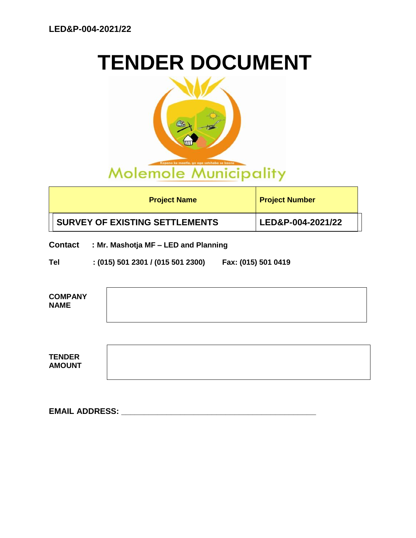# **TENDER DOCUMENT**



| <b>Project Name</b>                   | <b>Project Number</b> |
|---------------------------------------|-----------------------|
| <b>SURVEY OF EXISTING SETTLEMENTS</b> | LED&P-004-2021/22     |

**Contact : Mr. Mashotja MF – LED and Planning**

**Tel : (015) 501 2301 / (015 501 2300) Fax: (015) 501 0419**

| <b>COMPANY</b><br><b>NAME</b>  |  |  |
|--------------------------------|--|--|
|                                |  |  |
| <b>TENDER</b><br><b>AMOUNT</b> |  |  |

**EMAIL ADDRESS: \_\_\_\_\_\_\_\_\_\_\_\_\_\_\_\_\_\_\_\_\_\_\_\_\_\_\_\_\_\_\_\_\_\_\_\_\_\_\_\_\_\_\_**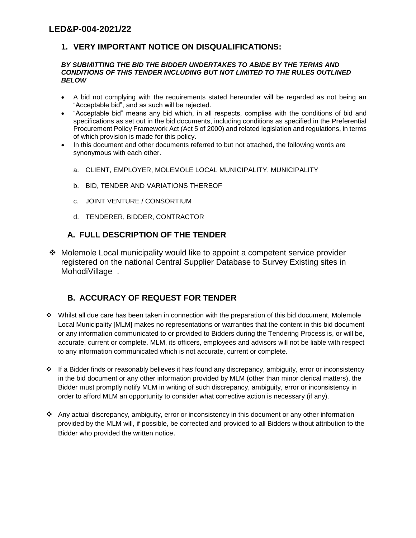# **1. VERY IMPORTANT NOTICE ON DISQUALIFICATIONS:**

#### *BY SUBMITTING THE BID THE BIDDER UNDERTAKES TO ABIDE BY THE TERMS AND CONDITIONS OF THIS TENDER INCLUDING BUT NOT LIMITED TO THE RULES OUTLINED BELOW*

- A bid not complying with the requirements stated hereunder will be regarded as not being an "Acceptable bid", and as such will be rejected.
- "Acceptable bid" means any bid which, in all respects, complies with the conditions of bid and specifications as set out in the bid documents, including conditions as specified in the Preferential Procurement Policy Framework Act (Act 5 of 2000) and related legislation and regulations, in terms of which provision is made for this policy.
- In this document and other documents referred to but not attached, the following words are synonymous with each other.
	- a. CLIENT, EMPLOYER, MOLEMOLE LOCAL MUNICIPALITY, MUNICIPALITY
	- b. BID, TENDER AND VARIATIONS THEREOF
	- c. JOINT VENTURE / CONSORTIUM
	- d. TENDERER, BIDDER, CONTRACTOR

### **A. FULL DESCRIPTION OF THE TENDER**

 Molemole Local municipality would like to appoint a competent service provider registered on the national Central Supplier Database to Survey Existing sites in MohodiVillage .

# **B. ACCURACY OF REQUEST FOR TENDER**

- $\div$  Whilst all due care has been taken in connection with the preparation of this bid document, Molemole Local Municipality [MLM] makes no representations or warranties that the content in this bid document or any information communicated to or provided to Bidders during the Tendering Process is, or will be, accurate, current or complete. MLM, its officers, employees and advisors will not be liable with respect to any information communicated which is not accurate, current or complete.
- $\cdot \cdot$  If a Bidder finds or reasonably believes it has found any discrepancy, ambiguity, error or inconsistency in the bid document or any other information provided by MLM (other than minor clerical matters), the Bidder must promptly notify MLM in writing of such discrepancy, ambiguity, error or inconsistency in order to afford MLM an opportunity to consider what corrective action is necessary (if any).
- Any actual discrepancy, ambiguity, error or inconsistency in this document or any other information provided by the MLM will, if possible, be corrected and provided to all Bidders without attribution to the Bidder who provided the written notice.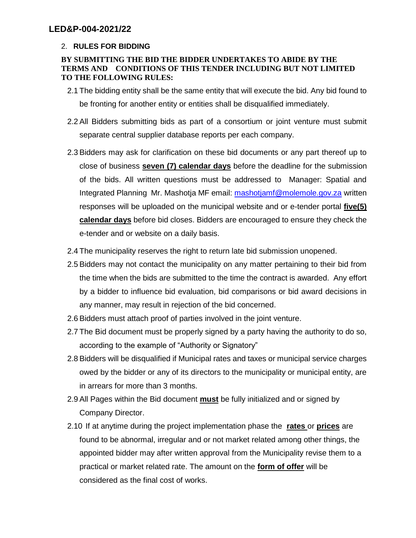### 2. **RULES FOR BIDDING**

### **BY SUBMITTING THE BID THE BIDDER UNDERTAKES TO ABIDE BY THE TERMS AND CONDITIONS OF THIS TENDER INCLUDING BUT NOT LIMITED TO THE FOLLOWING RULES:**

- 2.1 The bidding entity shall be the same entity that will execute the bid. Any bid found to be fronting for another entity or entities shall be disqualified immediately.
- 2.2 All Bidders submitting bids as part of a consortium or joint venture must submit separate central supplier database reports per each company.
- 2.3 Bidders may ask for clarification on these bid documents or any part thereof up to close of business **seven (7) calendar days** before the deadline for the submission of the bids. All written questions must be addressed to Manager: Spatial and Integrated Planning Mr. Mashotja MF email: [mashotjamf@molemole.gov.za](mailto:mashotjamf@molemole.gov.za) written responses will be uploaded on the municipal website and or e-tender portal **five(5) calendar days** before bid closes. Bidders are encouraged to ensure they check the e-tender and or website on a daily basis.
- 2.4 The municipality reserves the right to return late bid submission unopened.
- 2.5 Bidders may not contact the municipality on any matter pertaining to their bid from the time when the bids are submitted to the time the contract is awarded. Any effort by a bidder to influence bid evaluation, bid comparisons or bid award decisions in any manner, may result in rejection of the bid concerned.
- 2.6 Bidders must attach proof of parties involved in the joint venture.
- 2.7 The Bid document must be properly signed by a party having the authority to do so, according to the example of "Authority or Signatory"
- 2.8 Bidders will be disqualified if Municipal rates and taxes or municipal service charges owed by the bidder or any of its directors to the municipality or municipal entity, are in arrears for more than 3 months.
- 2.9 All Pages within the Bid document **must** be fully initialized and or signed by Company Director.
- 2.10 If at anytime during the project implementation phase the **rates** or **prices** are found to be abnormal, irregular and or not market related among other things, the appointed bidder may after written approval from the Municipality revise them to a practical or market related rate. The amount on the **form of offer** will be considered as the final cost of works.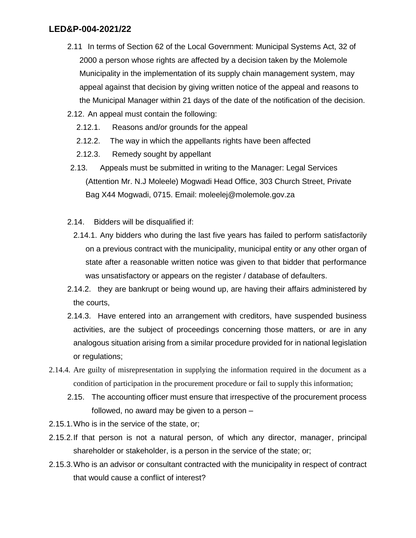- 2.11 In terms of Section 62 of the Local Government: Municipal Systems Act, 32 of 2000 a person whose rights are affected by a decision taken by the Molemole Municipality in the implementation of its supply chain management system, may appeal against that decision by giving written notice of the appeal and reasons to the Municipal Manager within 21 days of the date of the notification of the decision.
- 2.12. An appeal must contain the following:
	- 2.12.1. Reasons and/or grounds for the appeal
	- 2.12.2. The way in which the appellants rights have been affected
	- 2.12.3. Remedy sought by appellant
- 2.13. Appeals must be submitted in writing to the Manager: Legal Services (Attention Mr. N.J Moleele) Mogwadi Head Office, 303 Church Street, Private Bag X44 Mogwadi, 0715. Email: moleelej@molemole.gov.za
- 2.14. Bidders will be disqualified if:
	- 2.14.1. Any bidders who during the last five years has failed to perform satisfactorily on a previous contract with the municipality, municipal entity or any other organ of state after a reasonable written notice was given to that bidder that performance was unsatisfactory or appears on the register / database of defaulters.
- 2.14.2. they are bankrupt or being wound up, are having their affairs administered by the courts,
- 2.14.3. Have entered into an arrangement with creditors, have suspended business activities, are the subject of proceedings concerning those matters, or are in any analogous situation arising from a similar procedure provided for in national legislation or regulations;
- 2.14.4. Are guilty of misrepresentation in supplying the information required in the document as a condition of participation in the procurement procedure or fail to supply this information;
	- 2.15. The accounting officer must ensure that irrespective of the procurement process followed, no award may be given to a person –
- 2.15.1.Who is in the service of the state, or;
- 2.15.2.If that person is not a natural person, of which any director, manager, principal shareholder or stakeholder, is a person in the service of the state; or;
- 2.15.3.Who is an advisor or consultant contracted with the municipality in respect of contract that would cause a conflict of interest?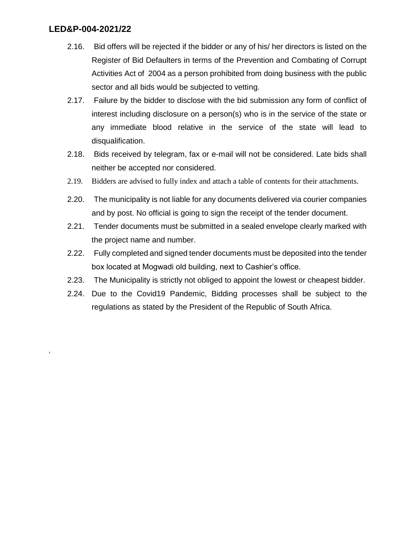'

- 2.16. Bid offers will be rejected if the bidder or any of his/ her directors is listed on the Register of Bid Defaulters in terms of the Prevention and Combating of Corrupt Activities Act of 2004 as a person prohibited from doing business with the public sector and all bids would be subjected to vetting.
- 2.17. Failure by the bidder to disclose with the bid submission any form of conflict of interest including disclosure on a person(s) who is in the service of the state or any immediate blood relative in the service of the state will lead to disqualification.
- 2.18. Bids received by telegram, fax or e-mail will not be considered. Late bids shall neither be accepted nor considered.
- 2.19. Bidders are advised to fully index and attach a table of contents for their attachments.
- 2.20. The municipality is not liable for any documents delivered via courier companies and by post. No official is going to sign the receipt of the tender document.
- 2.21. Tender documents must be submitted in a sealed envelope clearly marked with the project name and number.
- 2.22. Fully completed and signed tender documents must be deposited into the tender box located at Mogwadi old building, next to Cashier's office.
- 2.23. The Municipality is strictly not obliged to appoint the lowest or cheapest bidder.
- 2.24. Due to the Covid19 Pandemic, Bidding processes shall be subject to the regulations as stated by the President of the Republic of South Africa.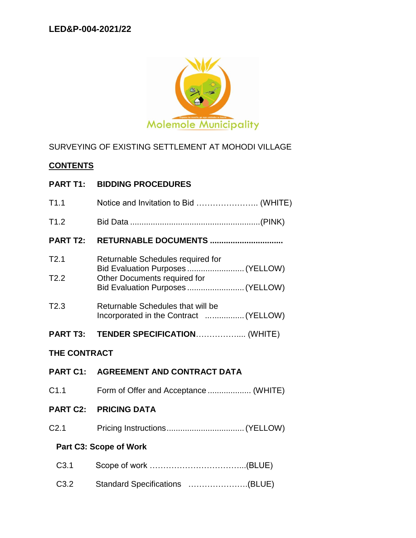

# SURVEYING OF EXISTING SETTLEMENT AT MOHODI VILLAGE

# **CONTENTS**

| <b>PART T1:</b> | <b>BIDDING PROCEDURES</b> |
|-----------------|---------------------------|
|                 |                           |

| T1.1                | Notice and Invitation to Bid  (WHITE)                                       |  |
|---------------------|-----------------------------------------------------------------------------|--|
| T1.2                |                                                                             |  |
| <b>PART T2:</b>     | RETURNABLE DOCUMENTS                                                        |  |
| T2.1                | Returnable Schedules required for<br>Bid Evaluation Purposes  (YELLOW)      |  |
| T2.2                | Other Documents required for<br>Bid Evaluation Purposes  (YELLOW)           |  |
| T2.3                | Returnable Schedules that will be<br>Incorporated in the Contract  (YELLOW) |  |
| <b>PART T3:</b>     | TENDER SPECIFICATION (WHITE)                                                |  |
| <b>THE CONTRACT</b> |                                                                             |  |
| <b>PART C1:</b>     | <b>AGREEMENT AND CONTRACT DATA</b>                                          |  |
| C1.1                | Form of Offer and Acceptance  (WHITE)                                       |  |
| <b>PART C2:</b>     | <b>PRICING DATA</b>                                                         |  |
| C <sub>2.1</sub>    |                                                                             |  |
|                     | Part C3: Scope of Work                                                      |  |
| C <sub>3.1</sub>    |                                                                             |  |
| C3.2                | Standard Specifications (BLUE)                                              |  |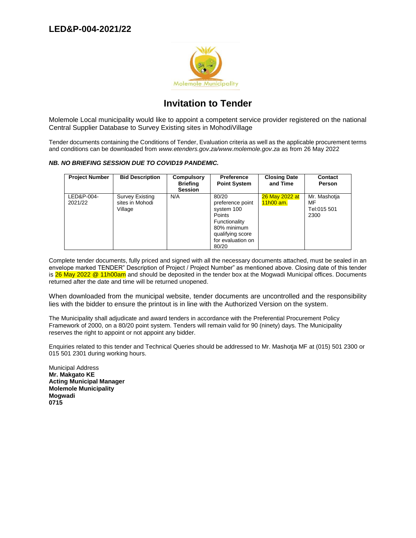

# **Invitation to Tender**

Molemole Local municipality would like to appoint a competent service provider registered on the national Central Supplier Database to Survey Existing sites in MohodiVillage

Tender documents containing the Conditions of Tender, Evaluation criteria as well as the applicable procurement terms and conditions can be downloaded from *www.etenders.gov.za/www.molemole.gov.za* as from 26 May 2022

#### *NB. NO BRIEFING SESSION DUE TO COVID19 PANDEMIC.*

| <b>Project Number</b> | <b>Bid Description</b>                               | <b>Compulsory</b><br><b>Briefing</b><br><b>Session</b> | <b>Preference</b><br><b>Point System</b>                                                                                            | <b>Closing Date</b><br>and Time | <b>Contact</b><br>Person                  |
|-----------------------|------------------------------------------------------|--------------------------------------------------------|-------------------------------------------------------------------------------------------------------------------------------------|---------------------------------|-------------------------------------------|
| LED&P-004-<br>2021/22 | <b>Survey Existing</b><br>sites in Mohodi<br>Village | N/A                                                    | 80/20<br>preference point<br>system 100<br>Points<br>Functionality<br>80% minimum<br>qualifying score<br>for evaluation on<br>80/20 | 26 May 2022 at<br>$11h00$ am.   | Mr. Mashotja<br>MF<br>Tel:015 501<br>2300 |

Complete tender documents, fully priced and signed with all the necessary documents attached, must be sealed in an envelope marked TENDER" Description of Project / Project Number" as mentioned above. Closing date of this tender is 26 May 2022 @ 11h00am and should be deposited in the tender box at the Mogwadi Municipal offices. Documents returned after the date and time will be returned unopened.

When downloaded from the municipal website, tender documents are uncontrolled and the responsibility lies with the bidder to ensure the printout is in line with the Authorized Version on the system.

The Municipality shall adjudicate and award tenders in accordance with the Preferential Procurement Policy Framework of 2000, on a 80/20 point system. Tenders will remain valid for 90 (ninety) days. The Municipality reserves the right to appoint or not appoint any bidder.

Enquiries related to this tender and Technical Queries should be addressed to Mr. Mashotja MF at (015) 501 2300 or 015 501 2301 during working hours.

Municipal Address **Mr. Makgato KE Acting Municipal Manager Molemole Municipality Mogwadi 0715**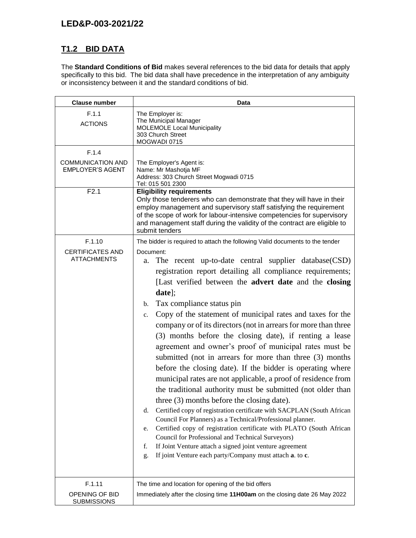# **T1.2 BID DATA**

The **Standard Conditions of Bid** makes several references to the bid data for details that apply specifically to this bid. The bid data shall have precedence in the interpretation of any ambiguity or inconsistency between it and the standard conditions of bid.

| <b>Clause number</b>                                         | Data                                                                                                                                                                                                                                                                                                                                                                                                                                                                                                                                                                                                                                                                                                                                                                                                                                                                                                                                                                                                                                                                                                                                                                                                                                                                                                                              |  |  |
|--------------------------------------------------------------|-----------------------------------------------------------------------------------------------------------------------------------------------------------------------------------------------------------------------------------------------------------------------------------------------------------------------------------------------------------------------------------------------------------------------------------------------------------------------------------------------------------------------------------------------------------------------------------------------------------------------------------------------------------------------------------------------------------------------------------------------------------------------------------------------------------------------------------------------------------------------------------------------------------------------------------------------------------------------------------------------------------------------------------------------------------------------------------------------------------------------------------------------------------------------------------------------------------------------------------------------------------------------------------------------------------------------------------|--|--|
| F.1.1<br><b>ACTIONS</b>                                      | The Employer is:<br>The Municipal Manager<br><b>MOLEMOLE Local Municipality</b><br>303 Church Street<br>MOGWADI 0715                                                                                                                                                                                                                                                                                                                                                                                                                                                                                                                                                                                                                                                                                                                                                                                                                                                                                                                                                                                                                                                                                                                                                                                                              |  |  |
| F.1.4<br><b>COMMUNICATION AND</b><br><b>EMPLOYER'S AGENT</b> | The Employer's Agent is:<br>Name: Mr Mashotja MF<br>Address: 303 Church Street Mogwadi 0715<br>Tel: 015 501 2300                                                                                                                                                                                                                                                                                                                                                                                                                                                                                                                                                                                                                                                                                                                                                                                                                                                                                                                                                                                                                                                                                                                                                                                                                  |  |  |
| F2.1                                                         | <b>Eligibility requirements</b><br>Only those tenderers who can demonstrate that they will have in their<br>employ management and supervisory staff satisfying the requirement<br>of the scope of work for labour-intensive competencies for supervisory<br>and management staff during the validity of the contract are eligible to<br>submit tenders                                                                                                                                                                                                                                                                                                                                                                                                                                                                                                                                                                                                                                                                                                                                                                                                                                                                                                                                                                            |  |  |
| F.1.10<br><b>CERTIFICATES AND</b><br><b>ATTACHMENTS</b>      | The bidder is required to attach the following Valid documents to the tender<br>Document:<br>The recent up-to-date central supplier database(CSD)<br>a.<br>registration report detailing all compliance requirements;<br>[Last verified between the advert date and the closing<br>$date$<br>Tax compliance status pin<br>$\mathbf{b}$ .<br>Copy of the statement of municipal rates and taxes for the<br>c.<br>company or of its directors (not in arrears for more than three<br>(3) months before the closing date), if renting a lease<br>agreement and owner's proof of municipal rates must be<br>submitted (not in arrears for more than three (3) months<br>before the closing date). If the bidder is operating where<br>municipal rates are not applicable, a proof of residence from<br>the traditional authority must be submitted (not older than<br>three (3) months before the closing date).<br>Certified copy of registration certificate with SACPLAN (South African<br>d.<br>Council For Planners) as a Technical/Professional planner.<br>Certified copy of registration certificate with PLATO (South African<br>e.<br>Council for Professional and Technical Surveyors)<br>If Joint Venture attach a signed joint venture agreement<br>f.<br>If joint Venture each party/Company must attach a. to c.<br>g. |  |  |
| F.1.11<br>OPENING OF BID<br><b>SUBMISSIONS</b>               | The time and location for opening of the bid offers<br>Immediately after the closing time 11H00am on the closing date 26 May 2022                                                                                                                                                                                                                                                                                                                                                                                                                                                                                                                                                                                                                                                                                                                                                                                                                                                                                                                                                                                                                                                                                                                                                                                                 |  |  |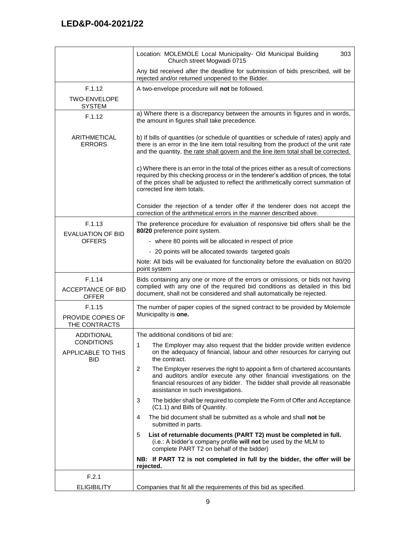|                                                       | Location: MOLEMOLE Local Municipality- Old Municipal Building<br>303<br>Church street Mogwadi 0715                                                                                                                                                                                                   |
|-------------------------------------------------------|------------------------------------------------------------------------------------------------------------------------------------------------------------------------------------------------------------------------------------------------------------------------------------------------------|
|                                                       | Any bid received after the deadline for submission of bids prescribed, will be<br>rejected and/or returned unopened to the Bidder.                                                                                                                                                                   |
| F.1.12                                                | A two-envelope procedure will not be followed.                                                                                                                                                                                                                                                       |
| <b>TWO-ENVELOPE</b><br><b>SYSTEM</b>                  |                                                                                                                                                                                                                                                                                                      |
| F.1.12                                                | a) Where there is a discrepancy between the amounts in figures and in words,<br>the amount in figures shall take precedence.                                                                                                                                                                         |
| <b>ARITHMETICAL</b><br><b>ERRORS</b>                  | b) If bills of quantities (or schedule of quantities or schedule of rates) apply and<br>there is an error in the line item total resulting from the product of the unit rate<br>and the quantity, the rate shall govern and the line item total shall be corrected.                                  |
|                                                       | c) Where there is an error in the total of the prices either as a result of corrections<br>required by this checking process or in the tenderer's addition of prices, the total<br>of the prices shall be adjusted to reflect the arithmetically correct summation of<br>corrected line item totals. |
|                                                       | Consider the rejection of a tender offer if the tenderer does not accept the<br>correction of the arithmetical errors in the manner described above.                                                                                                                                                 |
| F.1.13<br><b>EVALUATION OF BID</b>                    | The preference procedure for evaluation of responsive bid offers shall be the<br>80/20 preference point system.                                                                                                                                                                                      |
| <b>OFFERS</b>                                         | - where 80 points will be allocated in respect of price                                                                                                                                                                                                                                              |
|                                                       | - 20 points will be allocated towards targeted goals                                                                                                                                                                                                                                                 |
|                                                       | Note: All bids will be evaluated for functionality before the evaluation on 80/20<br>point system                                                                                                                                                                                                    |
| F.1.14                                                | Bids containing any one or more of the errors or omissions, or bids not having                                                                                                                                                                                                                       |
| <b>ACCEPTANCE OF BID</b><br><b>OFFER</b>              | complied with any one of the required bid conditions as detailed in this bid<br>document, shall not be considered and shall automatically be rejected.                                                                                                                                               |
| F.1.15<br>PROVIDE COPIES OF<br>THE CONTRACTS          | The number of paper copies of the signed contract to be provided by Molemole<br>Municipality is one.                                                                                                                                                                                                 |
| <b>ADDITIONAL</b>                                     | The additional conditions of bid are:                                                                                                                                                                                                                                                                |
| <b>CONDITIONS</b><br>APPLICABLE TO THIS<br><b>BID</b> | 1<br>The Employer may also request that the bidder provide written evidence<br>on the adequacy of financial, labour and other resources for carrying out<br>the contract.                                                                                                                            |
|                                                       | 2<br>The Employer reserves the right to appoint a firm of chartered accountants<br>and auditors and/or execute any other financial investigations on the<br>financial resources of any bidder. The bidder shall provide all reasonable<br>assistance in such investigations.                         |
|                                                       | 3<br>The bidder shall be required to complete the Form of Offer and Acceptance<br>(C1.1) and Bills of Quantity.                                                                                                                                                                                      |
|                                                       | The bid document shall be submitted as a whole and shall <b>not</b> be<br>4<br>submitted in parts.                                                                                                                                                                                                   |
|                                                       | List of returnable documents (PART T2) must be completed in full.<br>5<br>(i.e.: A bidder's company profile will not be used by the MLM to<br>complete PART T2 on behalf of the bidder)                                                                                                              |
|                                                       | NB: If PART T2 is not completed in full by the bidder, the offer will be<br>rejected.                                                                                                                                                                                                                |
| F.2.1                                                 |                                                                                                                                                                                                                                                                                                      |
| <b>ELIGIBILITY</b>                                    | Companies that fit all the requirements of this bid as specified.                                                                                                                                                                                                                                    |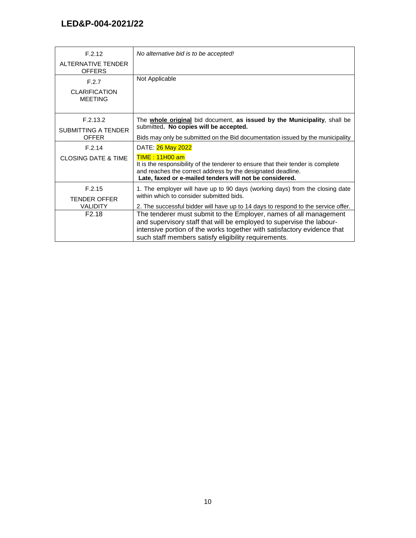| F.2.12                                 | No alternative bid is to be accepted!                                                                                                                                                                                                                                        |
|----------------------------------------|------------------------------------------------------------------------------------------------------------------------------------------------------------------------------------------------------------------------------------------------------------------------------|
| ALTERNATIVE TENDER<br><b>OFFERS</b>    |                                                                                                                                                                                                                                                                              |
| F.2.7                                  | Not Applicable                                                                                                                                                                                                                                                               |
| <b>CLARIFICATION</b><br><b>MEETING</b> |                                                                                                                                                                                                                                                                              |
| F.2.13.2<br><b>SUBMITTING A TENDER</b> | The <b>whole original</b> bid document, as issued by the Municipality, shall be<br>submitted. No copies will be accepted.                                                                                                                                                    |
| <b>OFFER</b>                           | Bids may only be submitted on the Bid documentation issued by the municipality                                                                                                                                                                                               |
| F.2.14                                 | DATE: 26 May 2022                                                                                                                                                                                                                                                            |
| <b>CLOSING DATE &amp; TIME</b>         | TIME: 11H00 am<br>It is the responsibility of the tenderer to ensure that their tender is complete<br>and reaches the correct address by the designated deadline.<br>Late, faxed or e-mailed tenders will not be considered.                                                 |
| F.2.15<br><b>TENDER OFFER</b>          | 1. The employer will have up to 90 days (working days) from the closing date<br>within which to consider submitted bids.                                                                                                                                                     |
| <b>VALIDITY</b>                        | 2. The successful bidder will have up to 14 days to respond to the service offer.                                                                                                                                                                                            |
| F <sub>2.18</sub>                      | The tenderer must submit to the Employer, names of all management<br>and supervisory staff that will be employed to supervise the labour-<br>intensive portion of the works together with satisfactory evidence that<br>such staff members satisfy eligibility requirements. |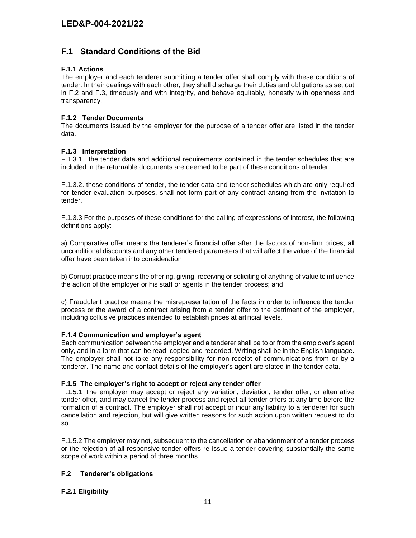### **F.1 Standard Conditions of the Bid**

#### **F.1.1 Actions**

The employer and each tenderer submitting a tender offer shall comply with these conditions of tender. In their dealings with each other, they shall discharge their duties and obligations as set out in F.2 and F.3, timeously and with integrity, and behave equitably, honestly with openness and transparency.

#### **F.1.2 Tender Documents**

The documents issued by the employer for the purpose of a tender offer are listed in the tender data.

#### **F.1.3 Interpretation**

F.1.3.1. the tender data and additional requirements contained in the tender schedules that are included in the returnable documents are deemed to be part of these conditions of tender.

F.1.3.2. these conditions of tender, the tender data and tender schedules which are only required for tender evaluation purposes, shall not form part of any contract arising from the invitation to tender.

F.1.3.3 For the purposes of these conditions for the calling of expressions of interest, the following definitions apply:

a) Comparative offer means the tenderer's financial offer after the factors of non-firm prices, all unconditional discounts and any other tendered parameters that will affect the value of the financial offer have been taken into consideration

b) Corrupt practice means the offering, giving, receiving or soliciting of anything of value to influence the action of the employer or his staff or agents in the tender process; and

c) Fraudulent practice means the misrepresentation of the facts in order to influence the tender process or the award of a contract arising from a tender offer to the detriment of the employer, including collusive practices intended to establish prices at artificial levels.

#### **F.1.4 Communication and employer's agent**

Each communication between the employer and a tenderer shall be to or from the employer's agent only, and in a form that can be read, copied and recorded. Writing shall be in the English language. The employer shall not take any responsibility for non-receipt of communications from or by a tenderer. The name and contact details of the employer's agent are stated in the tender data.

#### **F.1.5 The employer's right to accept or reject any tender offer**

F.1.5.1 The employer may accept or reject any variation, deviation, tender offer, or alternative tender offer, and may cancel the tender process and reject all tender offers at any time before the formation of a contract. The employer shall not accept or incur any liability to a tenderer for such cancellation and rejection, but will give written reasons for such action upon written request to do so.

F.1.5.2 The employer may not, subsequent to the cancellation or abandonment of a tender process or the rejection of all responsive tender offers re-issue a tender covering substantially the same scope of work within a period of three months.

#### **F.2 Tenderer's obligations**

#### **F.2.1 Eligibility**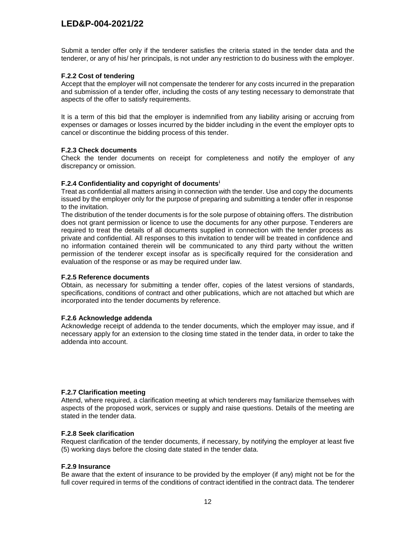Submit a tender offer only if the tenderer satisfies the criteria stated in the tender data and the tenderer, or any of his/ her principals, is not under any restriction to do business with the employer.

#### **F.2.2 Cost of tendering**

Accept that the employer will not compensate the tenderer for any costs incurred in the preparation and submission of a tender offer, including the costs of any testing necessary to demonstrate that aspects of the offer to satisfy requirements.

It is a term of this bid that the employer is indemnified from any liability arising or accruing from expenses or damages or losses incurred by the bidder including in the event the employer opts to cancel or discontinue the bidding process of this tender.

#### **F.2.3 Check documents**

Check the tender documents on receipt for completeness and notify the employer of any discrepancy or omission.

#### **F.2.4 Confidentiality and copyright of documents<sup>i</sup>**

Treat as confidential all matters arising in connection with the tender. Use and copy the documents issued by the employer only for the purpose of preparing and submitting a tender offer in response to the invitation.

The distribution of the tender documents is for the sole purpose of obtaining offers. The distribution does not grant permission or licence to use the documents for any other purpose. Tenderers are required to treat the details of all documents supplied in connection with the tender process as private and confidential. All responses to this invitation to tender will be treated in confidence and no information contained therein will be communicated to any third party without the written permission of the tenderer except insofar as is specifically required for the consideration and evaluation of the response or as may be required under law.

#### **F.2.5 Reference documents**

Obtain, as necessary for submitting a tender offer, copies of the latest versions of standards, specifications, conditions of contract and other publications, which are not attached but which are incorporated into the tender documents by reference.

#### **F.2.6 Acknowledge addenda**

Acknowledge receipt of addenda to the tender documents, which the employer may issue, and if necessary apply for an extension to the closing time stated in the tender data, in order to take the addenda into account.

#### **F.2.7 Clarification meeting**

Attend, where required, a clarification meeting at which tenderers may familiarize themselves with aspects of the proposed work, services or supply and raise questions. Details of the meeting are stated in the tender data.

#### **F.2.8 Seek clarification**

Request clarification of the tender documents, if necessary, by notifying the employer at least five (5) working days before the closing date stated in the tender data.

#### **F.2.9 Insurance**

Be aware that the extent of insurance to be provided by the employer (if any) might not be for the full cover required in terms of the conditions of contract identified in the contract data. The tenderer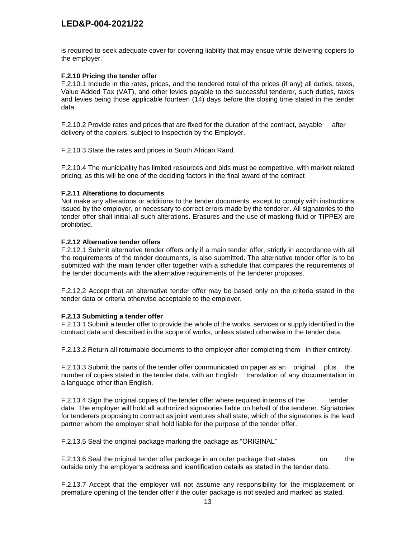is required to seek adequate cover for covering liability that may ensue while delivering copiers to the employer.

#### **F.2.10 Pricing the tender offer**

F.2.10.1 Include in the rates, prices, and the tendered total of the prices (if any) all duties, taxes, Value Added Tax (VAT), and other levies payable to the successful tenderer, such duties, taxes and levies being those applicable fourteen (14) days before the closing time stated in the tender data.

F.2.10.2 Provide rates and prices that are fixed for the duration of the contract, payable after delivery of the copiers, subject to inspection by the Employer.

F.2.10.3 State the rates and prices in South African Rand.

F.2.10.4 The municipality has limited resources and bids must be competitive, with market related pricing, as this will be one of the deciding factors in the final award of the contract

#### **F.2.11 Alterations to documents**

Not make any alterations or additions to the tender documents, except to comply with instructions issued by the employer, or necessary to correct errors made by the tenderer. All signatories to the tender offer shall initial all such alterations. Erasures and the use of masking fluid or TIPPEX are prohibited.

#### **F.2.12 Alternative tender offers**

F.2.12.1 Submit alternative tender offers only if a main tender offer, strictly in accordance with all the requirements of the tender documents, is also submitted. The alternative tender offer is to be submitted with the main tender offer together with a schedule that compares the requirements of the tender documents with the alternative requirements of the tenderer proposes.

F.2.12.2 Accept that an alternative tender offer may be based only on the criteria stated in the tender data or criteria otherwise acceptable to the employer.

#### **F.2.13 Submitting a tender offer**

F.2.13.1 Submit a tender offer to provide the whole of the works, services or supply identified in the contract data and described in the scope of works, unless stated otherwise in the tender data.

F.2.13.2 Return all returnable documents to the employer after completing them in their entirety.

F.2.13.3 Submit the parts of the tender offer communicated on paper as an original plus the number of copies stated in the tender data, with an English translation of any documentation in a language other than English.

F.2.13.4 Sign the original copies of the tender offer where required in terms of the tender data. The employer will hold all authorized signatories liable on behalf of the tenderer. Signatories for tenderers proposing to contract as joint ventures shall state; which of the signatories is the lead partner whom the employer shall hold liable for the purpose of the tender offer.

F.2.13.5 Seal the original package marking the package as "ORIGINAL"

F.2.13.6 Seal the original tender offer package in an outer package that states on the outside only the employer's address and identification details as stated in the tender data.

F.2.13.7 Accept that the employer will not assume any responsibility for the misplacement or premature opening of the tender offer if the outer package is not sealed and marked as stated.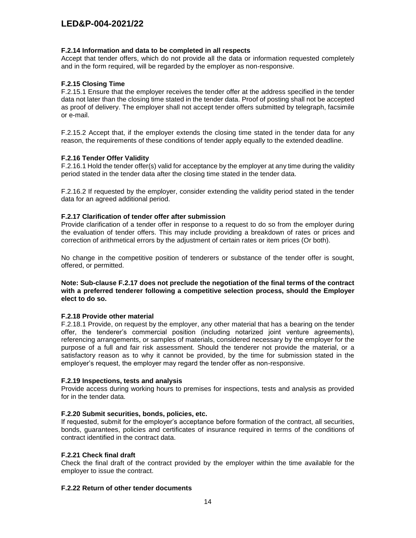#### **F.2.14 Information and data to be completed in all respects**

Accept that tender offers, which do not provide all the data or information requested completely and in the form required, will be regarded by the employer as non-responsive.

#### **F.2.15 Closing Time**

F.2.15.1 Ensure that the employer receives the tender offer at the address specified in the tender data not later than the closing time stated in the tender data. Proof of posting shall not be accepted as proof of delivery. The employer shall not accept tender offers submitted by telegraph, facsimile or e-mail.

F.2.15.2 Accept that, if the employer extends the closing time stated in the tender data for any reason, the requirements of these conditions of tender apply equally to the extended deadline.

#### **F.2.16 Tender Offer Validity**

F.2.16.1 Hold the tender offer(s) valid for acceptance by the employer at any time during the validity period stated in the tender data after the closing time stated in the tender data.

F.2.16.2 If requested by the employer, consider extending the validity period stated in the tender data for an agreed additional period.

#### **F.2.17 Clarification of tender offer after submission**

Provide clarification of a tender offer in response to a request to do so from the employer during the evaluation of tender offers. This may include providing a breakdown of rates or prices and correction of arithmetical errors by the adjustment of certain rates or item prices (Or both).

No change in the competitive position of tenderers or substance of the tender offer is sought, offered, or permitted.

#### **Note: Sub-clause F.2.17 does not preclude the negotiation of the final terms of the contract with a preferred tenderer following a competitive selection process, should the Employer elect to do so.**

#### **F.2.18 Provide other material**

F.2.18.1 Provide, on request by the employer, any other material that has a bearing on the tender offer, the tenderer's commercial position (including notarized joint venture agreements), referencing arrangements, or samples of materials, considered necessary by the employer for the purpose of a full and fair risk assessment. Should the tenderer not provide the material, or a satisfactory reason as to why it cannot be provided, by the time for submission stated in the employer's request, the employer may regard the tender offer as non-responsive.

#### **F.2.19 Inspections, tests and analysis**

Provide access during working hours to premises for inspections, tests and analysis as provided for in the tender data.

#### **F.2.20 Submit securities, bonds, policies, etc.**

If requested, submit for the employer's acceptance before formation of the contract, all securities, bonds, guarantees, policies and certificates of insurance required in terms of the conditions of contract identified in the contract data.

#### **F.2.21 Check final draft**

Check the final draft of the contract provided by the employer within the time available for the employer to issue the contract.

#### **F.2.22 Return of other tender documents**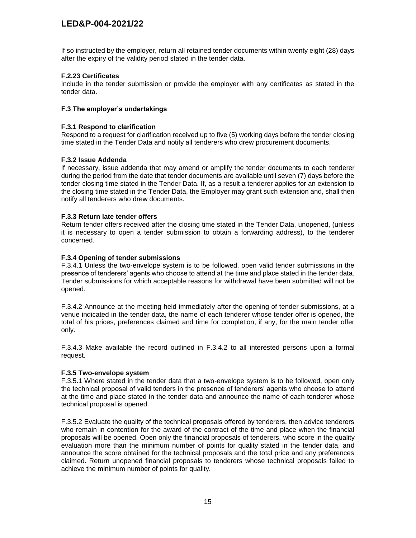If so instructed by the employer, return all retained tender documents within twenty eight (28) days after the expiry of the validity period stated in the tender data.

#### **F.2.23 Certificates**

Include in the tender submission or provide the employer with any certificates as stated in the tender data.

#### **F.3 The employer's undertakings**

#### **F.3.1 Respond to clarification**

Respond to a request for clarification received up to five (5) working days before the tender closing time stated in the Tender Data and notify all tenderers who drew procurement documents.

#### **F.3.2 Issue Addenda**

If necessary, issue addenda that may amend or amplify the tender documents to each tenderer during the period from the date that tender documents are available until seven (7) days before the tender closing time stated in the Tender Data. If, as a result a tenderer applies for an extension to the closing time stated in the Tender Data, the Employer may grant such extension and, shall then notify all tenderers who drew documents.

#### **F.3.3 Return late tender offers**

Return tender offers received after the closing time stated in the Tender Data, unopened, (unless it is necessary to open a tender submission to obtain a forwarding address), to the tenderer concerned.

#### **F.3.4 Opening of tender submissions**

F.3.4.1 Unless the two-envelope system is to be followed, open valid tender submissions in the presence of tenderers' agents who choose to attend at the time and place stated in the tender data. Tender submissions for which acceptable reasons for withdrawal have been submitted will not be opened.

F.3.4.2 Announce at the meeting held immediately after the opening of tender submissions, at a venue indicated in the tender data, the name of each tenderer whose tender offer is opened, the total of his prices, preferences claimed and time for completion, if any, for the main tender offer only.

F.3.4.3 Make available the record outlined in F.3.4.2 to all interested persons upon a formal request.

#### **F.3.5 Two-envelope system**

F.3.5.1 Where stated in the tender data that a two-envelope system is to be followed, open only the technical proposal of valid tenders in the presence of tenderers' agents who choose to attend at the time and place stated in the tender data and announce the name of each tenderer whose technical proposal is opened.

F.3.5.2 Evaluate the quality of the technical proposals offered by tenderers, then advice tenderers who remain in contention for the award of the contract of the time and place when the financial proposals will be opened. Open only the financial proposals of tenderers, who score in the quality evaluation more than the minimum number of points for quality stated in the tender data, and announce the score obtained for the technical proposals and the total price and any preferences claimed. Return unopened financial proposals to tenderers whose technical proposals failed to achieve the minimum number of points for quality.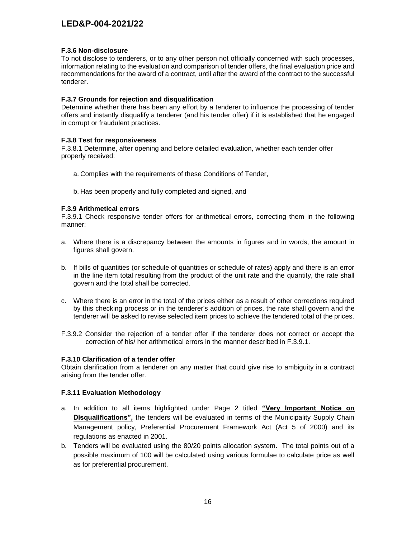#### **F.3.6 Non-disclosure**

To not disclose to tenderers, or to any other person not officially concerned with such processes, information relating to the evaluation and comparison of tender offers, the final evaluation price and recommendations for the award of a contract, until after the award of the contract to the successful tenderer.

#### **F.3.7 Grounds for rejection and disqualification**

Determine whether there has been any effort by a tenderer to influence the processing of tender offers and instantly disqualify a tenderer (and his tender offer) if it is established that he engaged in corrupt or fraudulent practices.

#### **F.3.8 Test for responsiveness**

F.3.8.1 Determine, after opening and before detailed evaluation, whether each tender offer properly received:

- a. Complies with the requirements of these Conditions of Tender,
- b. Has been properly and fully completed and signed, and

#### **F.3.9 Arithmetical errors**

F.3.9.1 Check responsive tender offers for arithmetical errors, correcting them in the following manner:

- a. Where there is a discrepancy between the amounts in figures and in words, the amount in figures shall govern.
- b. If bills of quantities (or schedule of quantities or schedule of rates) apply and there is an error in the line item total resulting from the product of the unit rate and the quantity, the rate shall govern and the total shall be corrected.
- c. Where there is an error in the total of the prices either as a result of other corrections required by this checking process or in the tenderer's addition of prices, the rate shall govern and the tenderer will be asked to revise selected item prices to achieve the tendered total of the prices.
- F.3.9.2 Consider the rejection of a tender offer if the tenderer does not correct or accept the correction of his/ her arithmetical errors in the manner described in F.3.9.1.

#### **F.3.10 Clarification of a tender offer**

Obtain clarification from a tenderer on any matter that could give rise to ambiguity in a contract arising from the tender offer.

#### **F.3.11 Evaluation Methodology**

- a. In addition to all items highlighted under Page 2 titled **"Very Important Notice on Disqualifications",** the tenders will be evaluated in terms of the Municipality Supply Chain Management policy, Preferential Procurement Framework Act (Act 5 of 2000) and its regulations as enacted in 2001.
- b. Tenders will be evaluated using the 80/20 points allocation system. The total points out of a possible maximum of 100 will be calculated using various formulae to calculate price as well as for preferential procurement.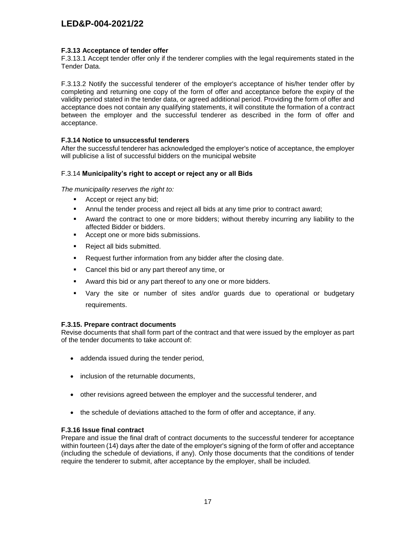#### **F.3.13 Acceptance of tender offer**

F.3.13.1 Accept tender offer only if the tenderer complies with the legal requirements stated in the Tender Data.

F.3.13.2 Notify the successful tenderer of the employer's acceptance of his/her tender offer by completing and returning one copy of the form of offer and acceptance before the expiry of the validity period stated in the tender data, or agreed additional period. Providing the form of offer and acceptance does not contain any qualifying statements, it will constitute the formation of a contract between the employer and the successful tenderer as described in the form of offer and acceptance.

#### **F.3.14 Notice to unsuccessful tenderers**

After the successful tenderer has acknowledged the employer's notice of acceptance, the employer will publicise a list of successful bidders on the municipal website

#### F.3.14 **Municipality's right to accept or reject any or all Bids**

*The municipality reserves the right to:*

- Accept or reject any bid;
- **Annul the tender process and reject all bids at any time prior to contract award;**
- Award the contract to one or more bidders; without thereby incurring any liability to the affected Bidder or bidders.
- Accept one or more bids submissions.
- **Reject all bids submitted.**
- **Request further information from any bidder after the closing date.**
- **Cancel this bid or any part thereof any time, or**
- Award this bid or any part thereof to any one or more bidders.
- Vary the site or number of sites and/or guards due to operational or budgetary requirements.

#### **F.3.15. Prepare contract documents**

Revise documents that shall form part of the contract and that were issued by the employer as part of the tender documents to take account of:

- addenda issued during the tender period,
- inclusion of the returnable documents,
- other revisions agreed between the employer and the successful tenderer, and
- the schedule of deviations attached to the form of offer and acceptance, if any.

#### **F.3.16 Issue final contract**

Prepare and issue the final draft of contract documents to the successful tenderer for acceptance within fourteen (14) days after the date of the employer's signing of the form of offer and acceptance (including the schedule of deviations, if any). Only those documents that the conditions of tender require the tenderer to submit, after acceptance by the employer, shall be included.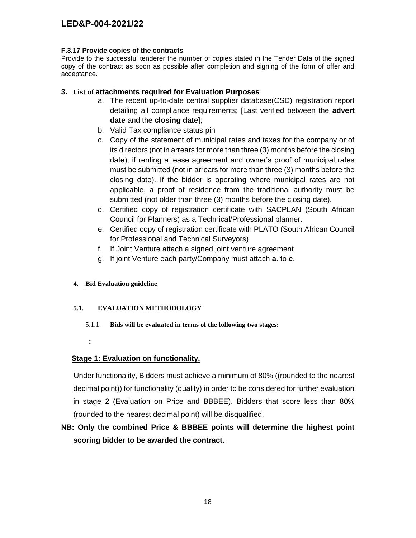#### **F.3.17 Provide copies of the contracts**

Provide to the successful tenderer the number of copies stated in the Tender Data of the signed copy of the contract as soon as possible after completion and signing of the form of offer and acceptance.

### **3. List of attachments required for Evaluation Purposes**

- a. The recent up-to-date central supplier database(CSD) registration report detailing all compliance requirements; [Last verified between the **advert date** and the **closing date**];
- b. Valid Tax compliance status pin
- c. Copy of the statement of municipal rates and taxes for the company or of its directors (not in arrears for more than three (3) months before the closing date), if renting a lease agreement and owner's proof of municipal rates must be submitted (not in arrears for more than three (3) months before the closing date). If the bidder is operating where municipal rates are not applicable, a proof of residence from the traditional authority must be submitted (not older than three (3) months before the closing date).
- d. Certified copy of registration certificate with SACPLAN (South African Council for Planners) as a Technical/Professional planner.
- e. Certified copy of registration certificate with PLATO (South African Council for Professional and Technical Surveyors)
- f. If Joint Venture attach a signed joint venture agreement
- g. If joint Venture each party/Company must attach **a**. to **c**.

### **4. Bid Evaluation guideline**

#### **5.1. EVALUATION METHODOLOGY**

5.1.1. **Bids will be evaluated in terms of the following two stages:**

**:** 

### **Stage 1: Evaluation on functionality.**

 Under functionality, Bidders must achieve a minimum of 80% ((rounded to the nearest decimal point)) for functionality (quality) in order to be considered for further evaluation in stage 2 (Evaluation on Price and BBBEE). Bidders that score less than 80% (rounded to the nearest decimal point) will be disqualified.

# **NB: Only the combined Price & BBBEE points will determine the highest point scoring bidder to be awarded the contract.**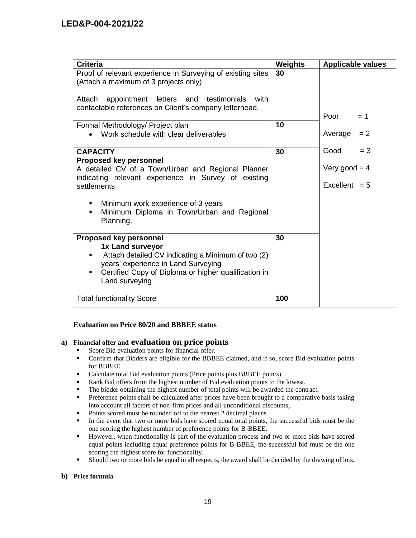| <b>Criteria</b>                                                                                                                                                                                                               | Weights | <b>Applicable values</b>           |
|-------------------------------------------------------------------------------------------------------------------------------------------------------------------------------------------------------------------------------|---------|------------------------------------|
| Proof of relevant experience in Surveying of existing sites<br>(Attach a maximum of 3 projects only).                                                                                                                         | 30      |                                    |
| Attach appointment letters and testimonials<br>with<br>contactable references on Client's company letterhead.                                                                                                                 |         |                                    |
|                                                                                                                                                                                                                               |         | Poor<br>$= 1$                      |
| Formal Methodology/ Project plan<br>Work schedule with clear deliverables                                                                                                                                                     | 10      | Average<br>$= 2$                   |
| <b>CAPACITY</b>                                                                                                                                                                                                               | 30      | Good<br>$=$ 3                      |
| <b>Proposed key personnel</b><br>A detailed CV of a Town/Urban and Regional Planner<br>indicating relevant experience in Survey of existing<br>settlements                                                                    |         | Very good = $4$<br>Excellent $= 5$ |
| Minimum work experience of 3 years<br>٠<br>Minimum Diploma in Town/Urban and Regional<br>$\blacksquare$<br>Planning.                                                                                                          |         |                                    |
| <b>Proposed key personnel</b><br>1x Land surveyor<br>Attach detailed CV indicating a Minimum of two (2)<br>٠<br>years' experience in Land Surveying<br>Certified Copy of Diploma or higher qualification in<br>Land surveying | 30      |                                    |
| <b>Total functionality Score</b>                                                                                                                                                                                              | 100     |                                    |

#### **Evaluation on Price 80/20 and BBBEE status**

### **a) Financial offer and evaluation on price points**

- Score Bid evaluation points for financial offer.
- Confirm that Bidders are eligible for the BBBEE claimed, and if so, score Bid evaluation points for BBBEE.
- Calculate total Bid evaluation points (Price points plus BBBEE points)
- **Rank Bid offers from the highest number of Bid evaluation points to the lowest.**
- The bidder obtaining the highest number of total points will be awarded the contract.
- **•** Preference points shall be calculated after prices have been brought to a comparative basis taking into account all factors of non-firm prices and all unconditional discounts;.
- Points scored must be rounded off to the nearest 2 decimal places.
- In the event that two or more bids have scored equal total points, the successful bids must be the one scoring the highest number of preference points for B-BBEE.
- However, when functionality is part of the evaluation process and two or more bids have scored equal points including equal preference points for B-BBEE, the successful bid must be the one scoring the highest score for functionality.
- Should two or more bids be equal in all respects, the award shall be decided by the drawing of lots.

#### **b) Price formula**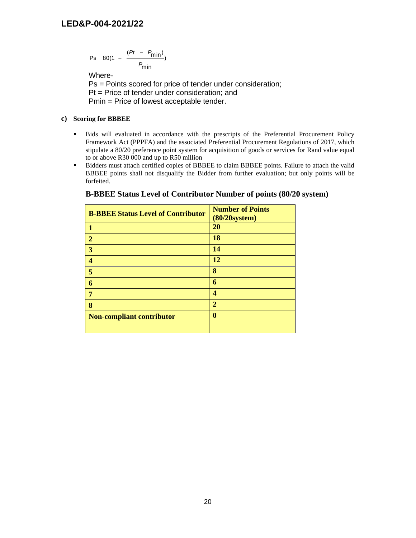$$
Ps = 80(1 - \frac{(Pt - P_{min})}{P_{min}})
$$

Where-

Ps = Points scored for price of tender under consideration; Pt = Price of tender under consideration; and Pmin = Price of lowest acceptable tender.

#### **c) Scoring for BBBEE**

- Bids will evaluated in accordance with the prescripts of the Preferential Procurement Policy Framework Act (PPPFA) and the associated Preferential Procurement Regulations of 2017, which stipulate a 80/20 preference point system for acquisition of goods or services for Rand value equal to or above R30 000 and up to R50 million
- Bidders must attach certified copies of BBBEE to claim BBBEE points. Failure to attach the valid BBBEE points shall not disqualify the Bidder from further evaluation; but only points will be forfeited.

| <b>B-BBEE Status Level of Contributor</b> | <b>Number of Points</b><br>$(80/20$ system $)$ |
|-------------------------------------------|------------------------------------------------|
| 1                                         | 20                                             |
| $\overline{2}$                            | 18                                             |
| 3                                         | 14                                             |
| 4                                         | <b>12</b>                                      |
| 5                                         | 8                                              |
| 6                                         | 6                                              |
| 7                                         | 4                                              |
| 8                                         | $\overline{2}$                                 |
| <b>Non-compliant contributor</b>          | $\bf{0}$                                       |
|                                           |                                                |

#### **B-BBEE Status Level of Contributor Number of points (80/20 system)**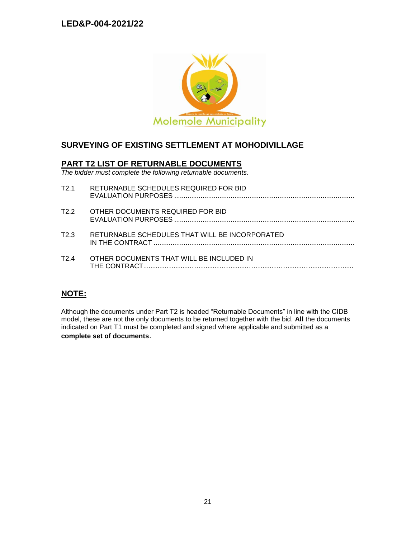

# **SURVEYING OF EXISTING SETTLEMENT AT MOHODIVILLAGE**

### **PART T2 LIST OF RETURNABLE DOCUMENTS**

*The bidder must complete the following returnable documents.*

| T2.1 | RETURNABLE SCHEDULES REQUIRED FOR BID          |
|------|------------------------------------------------|
| T2 2 | OTHER DOCUMENTS REQUIRED FOR BID               |
| T2 3 | RETURNABLE SCHEDULES THAT WILL BE INCORPORATED |
| T24  | OTHER DOCUMENTS THAT WILL BE INCLUDED IN       |

# **NOTE:**

Although the documents under Part T2 is headed "Returnable Documents" in line with the CIDB model, these are not the only documents to be returned together with the bid. **All** the documents indicated on Part T1 must be completed and signed where applicable and submitted as a **complete set of documents**.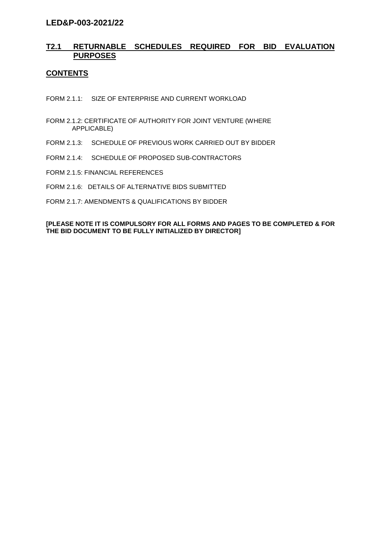### **T2.1 RETURNABLE SCHEDULES REQUIRED FOR BID EVALUATION PURPOSES**

### **CONTENTS**

FORM 2.1.1: SIZE OF ENTERPRISE AND CURRENT WORKLOAD

- FORM 2.1.2: CERTIFICATE OF AUTHORITY FOR JOINT VENTURE (WHERE APPLICABLE)
- FORM 2.1.3: SCHEDULE OF PREVIOUS WORK CARRIED OUT BY BIDDER
- FORM 2.1.4: SCHEDULE OF PROPOSED SUB-CONTRACTORS
- FORM 2.1.5: FINANCIAL REFERENCES
- FORM 2.1.6: DETAILS OF ALTERNATIVE BIDS SUBMITTED
- FORM 2.1.7: AMENDMENTS & QUALIFICATIONS BY BIDDER

#### **[PLEASE NOTE IT IS COMPULSORY FOR ALL FORMS AND PAGES TO BE COMPLETED & FOR THE BID DOCUMENT TO BE FULLY INITIALIZED BY DIRECTOR]**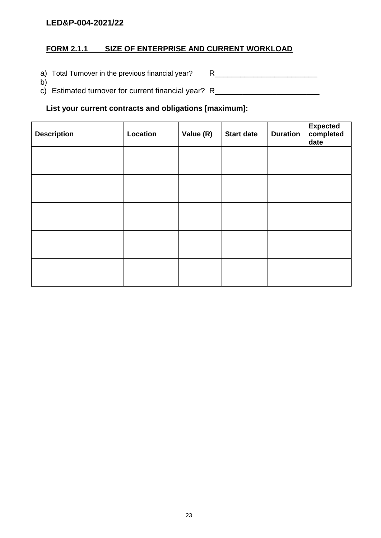# **FORM 2.1.1 SIZE OF ENTERPRISE AND CURRENT WORKLOAD**

a) Total Turnover in the previous financial year? R\_\_\_\_\_\_\_\_\_\_\_\_\_\_\_\_\_\_\_\_\_\_\_\_\_\_\_\_\_

b) c) Estimated turnover for current financial year? R \_\_\_\_\_\_\_\_\_\_\_\_\_\_\_\_\_\_\_

### **List your current contracts and obligations [maximum]:**

| <b>Description</b> | Location | Value (R) | <b>Start date</b> | <b>Duration</b> | Expected<br>completed<br>date |
|--------------------|----------|-----------|-------------------|-----------------|-------------------------------|
|                    |          |           |                   |                 |                               |
|                    |          |           |                   |                 |                               |
|                    |          |           |                   |                 |                               |
|                    |          |           |                   |                 |                               |
|                    |          |           |                   |                 |                               |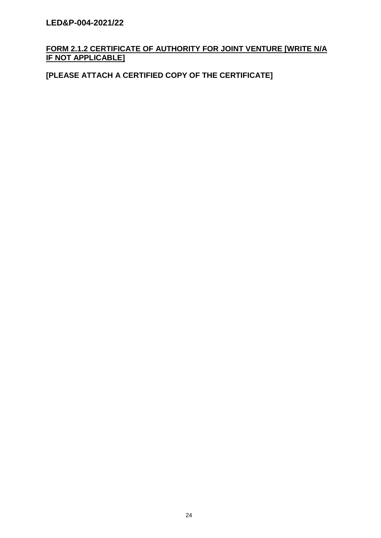# **FORM 2.1.2 CERTIFICATE OF AUTHORITY FOR JOINT VENTURE [WRITE N/A IF NOT APPLICABLE]**

# **[PLEASE ATTACH A CERTIFIED COPY OF THE CERTIFICATE]**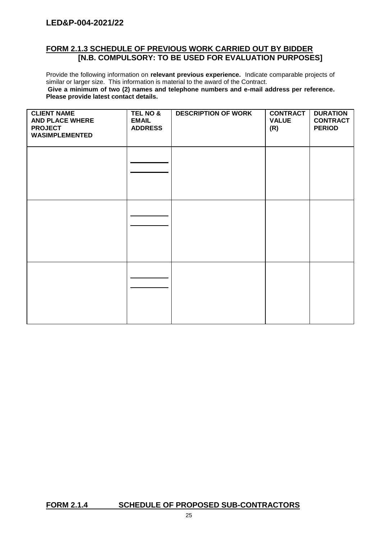### **FORM 2.1.3 SCHEDULE OF PREVIOUS WORK CARRIED OUT BY BIDDER [N.B. COMPULSORY: TO BE USED FOR EVALUATION PURPOSES]**

Provide the following information on **relevant previous experience.** Indicate comparable projects of similar or larger size. This information is material to the award of the Contract. **Give a minimum of two (2) names and telephone numbers and e-mail address per reference. Please provide latest contact details.**

| <b>CLIENT NAME</b><br><b>AND PLACE WHERE</b><br><b>PROJECT</b><br><b>WASIMPLEMENTED</b> | <b>TEL NO &amp;</b><br><b>EMAIL</b><br><b>ADDRESS</b> | <b>DESCRIPTION OF WORK</b> | <b>CONTRACT</b><br><b>VALUE</b><br>(R) | <b>DURATION</b><br><b>CONTRACT</b><br><b>PERIOD</b> |
|-----------------------------------------------------------------------------------------|-------------------------------------------------------|----------------------------|----------------------------------------|-----------------------------------------------------|
|                                                                                         |                                                       |                            |                                        |                                                     |
|                                                                                         |                                                       |                            |                                        |                                                     |
|                                                                                         |                                                       |                            |                                        |                                                     |

# **FORM 2.1.4 SCHEDULE OF PROPOSED SUB-CONTRACTORS**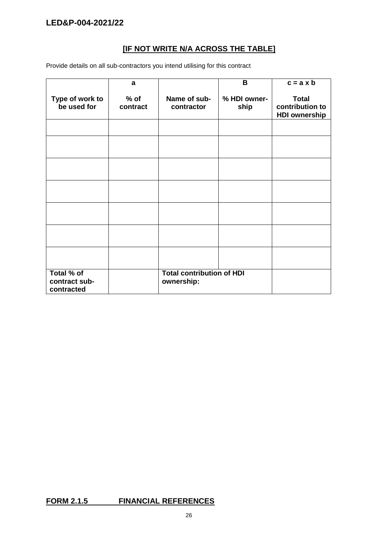# **[IF NOT WRITE N/A ACROSS THE TABLE]**

Provide details on all sub-contractors you intend utilising for this contract

|                                           | a                  |                                                | B                    | $c = a \times b$                                        |
|-------------------------------------------|--------------------|------------------------------------------------|----------------------|---------------------------------------------------------|
| Type of work to<br>be used for            | $%$ of<br>contract | Name of sub-<br>contractor                     | % HDI owner-<br>ship | <b>Total</b><br>contribution to<br><b>HDI ownership</b> |
|                                           |                    |                                                |                      |                                                         |
|                                           |                    |                                                |                      |                                                         |
|                                           |                    |                                                |                      |                                                         |
|                                           |                    |                                                |                      |                                                         |
|                                           |                    |                                                |                      |                                                         |
|                                           |                    |                                                |                      |                                                         |
|                                           |                    |                                                |                      |                                                         |
| Total % of<br>contract sub-<br>contracted |                    | <b>Total contribution of HDI</b><br>ownership: |                      |                                                         |

# **FORM 2.1.5 FINANCIAL REFERENCES**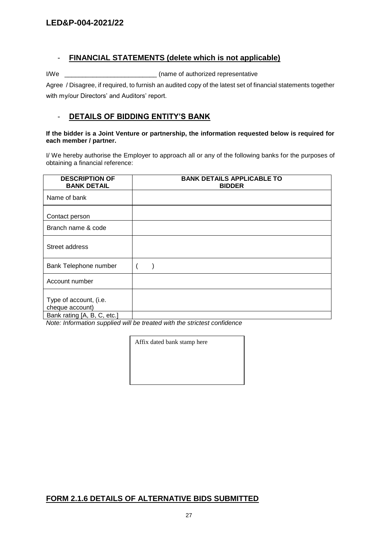### - **FINANCIAL STATEMENTS (delete which is not applicable)**

I/We \_\_\_\_\_\_\_\_\_\_\_\_\_\_\_\_\_\_\_\_\_\_\_\_\_\_ (name of authorized representative

Agree / Disagree, if required, to furnish an audited copy of the latest set of financial statements together with my/our Directors' and Auditors' report.

### - **DETAILS OF BIDDING ENTITY'S BANK**

#### **If the bidder is a Joint Venture or partnership, the information requested below is required for each member / partner.**

I/ We hereby authorise the Employer to approach all or any of the following banks for the purposes of obtaining a financial reference:

| <b>DESCRIPTION OF</b><br><b>BANK DETAIL</b> | <b>BANK DETAILS APPLICABLE TO</b><br><b>BIDDER</b> |
|---------------------------------------------|----------------------------------------------------|
| Name of bank                                |                                                    |
| Contact person                              |                                                    |
| Branch name & code                          |                                                    |
| Street address                              |                                                    |
| Bank Telephone number                       |                                                    |
| Account number                              |                                                    |
| Type of account, (i.e.<br>cheque account)   |                                                    |
| Bank rating [A, B, C, etc.]                 |                                                    |

*Note: Information supplied will be treated with the strictest confidence*

Affix dated bank stamp here

# **FORM 2.1.6 DETAILS OF ALTERNATIVE BIDS SUBMITTED**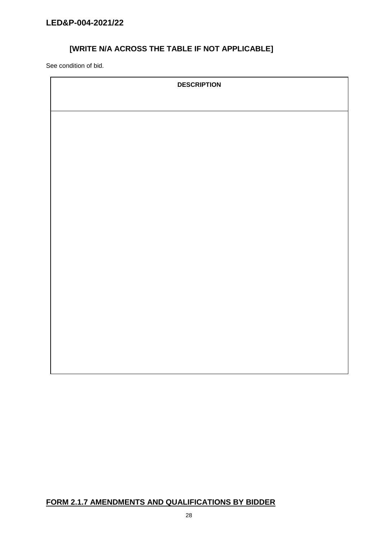# **[WRITE N/A ACROSS THE TABLE IF NOT APPLICABLE]**

See condition of bid.

| <b>DESCRIPTION</b> |
|--------------------|
|                    |
|                    |
|                    |
|                    |
|                    |
|                    |
|                    |
|                    |
|                    |
|                    |
|                    |
|                    |
|                    |
|                    |
|                    |
|                    |
|                    |
|                    |

# **FORM 2.1.7 AMENDMENTS AND QUALIFICATIONS BY BIDDER**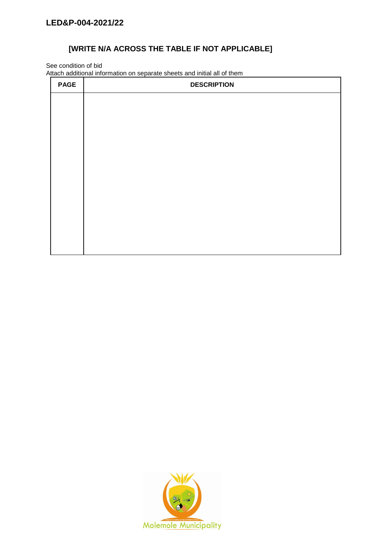# **[WRITE N/A ACROSS THE TABLE IF NOT APPLICABLE]**

See condition of bid

Attach additional information on separate sheets and initial all of them

| <b>PAGE</b> | <b>DESCRIPTION</b> |
|-------------|--------------------|
|             |                    |
|             |                    |
|             |                    |
|             |                    |
|             |                    |
|             |                    |
|             |                    |
|             |                    |
|             |                    |
|             |                    |
|             |                    |

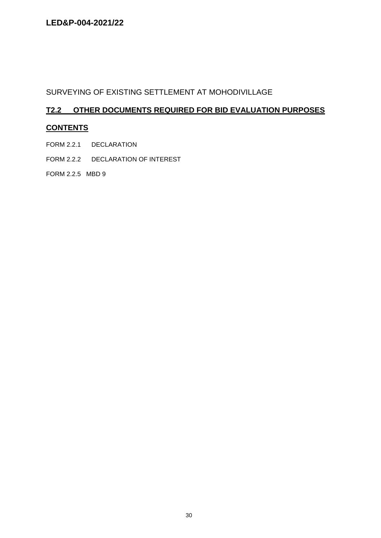# SURVEYING OF EXISTING SETTLEMENT AT MOHODIVILLAGE

# **T2.2 OTHER DOCUMENTS REQUIRED FOR BID EVALUATION PURPOSES**

# **CONTENTS**

- FORM 2.2.1 DECLARATION
- FORM 2.2.2 DECLARATION OF INTEREST

FORM 2.2.5 MBD 9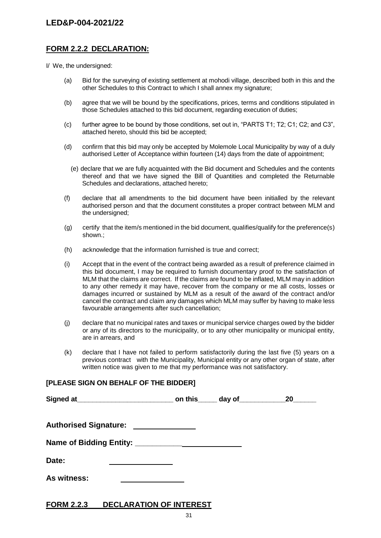### **FORM 2.2.2 DECLARATION:**

I/ We, the undersigned:

- (a) Bid for the surveying of existing settlement at mohodi village, described both in this and the other Schedules to this Contract to which I shall annex my signature;
- (b) agree that we will be bound by the specifications, prices, terms and conditions stipulated in those Schedules attached to this bid document, regarding execution of duties;
- (c) further agree to be bound by those conditions, set out in, "PARTS T1; T2; C1; C2; and C3", attached hereto, should this bid be accepted;
- (d) confirm that this bid may only be accepted by Molemole Local Municipality by way of a duly authorised Letter of Acceptance within fourteen (14) days from the date of appointment;
	- (e) declare that we are fully acquainted with the Bid document and Schedules and the contents thereof and that we have signed the Bill of Quantities and completed the Returnable Schedules and declarations, attached hereto;
- (f) declare that all amendments to the bid document have been initialled by the relevant authorised person and that the document constitutes a proper contract between MLM and the undersigned;
- (g) certify that the item/s mentioned in the bid document, qualifies/qualify for the preference(s) shown.;
- (h) acknowledge that the information furnished is true and correct;
- (i) Accept that in the event of the contract being awarded as a result of preference claimed in this bid document, I may be required to furnish documentary proof to the satisfaction of MLM that the claims are correct. If the claims are found to be inflated, MLM may in addition to any other remedy it may have, recover from the company or me all costs, losses or damages incurred or sustained by MLM as a result of the award of the contract and/or cancel the contract and claim any damages which MLM may suffer by having to make less favourable arrangements after such cancellation;
- (j) declare that no municipal rates and taxes or municipal service charges owed by the bidder or any of its directors to the municipality, or to any other municipality or municipal entity, are in arrears, and
- (k) declare that I have not failed to perform satisfactorily during the last five (5) years on a previous contract with the Municipality, Municipal entity or any other organ of state, after written notice was given to me that my performance was not satisfactory.

# **[PLEASE SIGN ON BEHALF OF THE BIDDER]**

|                              |  | <b>20</b> |
|------------------------------|--|-----------|
| <b>Authorised Signature:</b> |  |           |
|                              |  |           |
| Date:                        |  |           |
| As witness:                  |  |           |

### **FORM 2.2.3 DECLARATION OF INTEREST**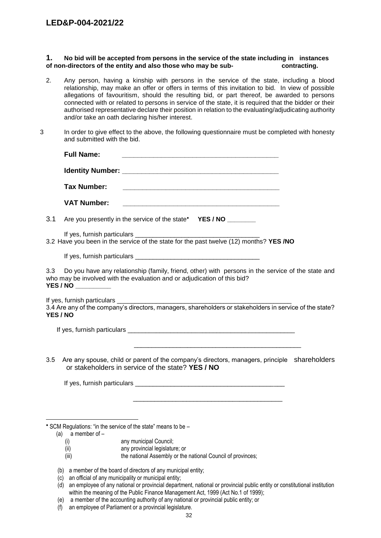#### **1. No bid will be accepted from persons in the service of the state including in instances of non-directors of the entity and also those who may be sub- contracting.**

- 2. Any person, having a kinship with persons in the service of the state, including a blood relationship, may make an offer or offers in terms of this invitation to bid. In view of possible allegations of favouritism, should the resulting bid, or part thereof, be awarded to persons connected with or related to persons in service of the state, it is required that the bidder or their authorised representative declare their position in relation to the evaluating/adjudicating authority and/or take an oath declaring his/her interest.
- 3 In order to give effect to the above, the following questionnaire must be completed with honesty and submitted with the bid.

|                 | <b>Full Name:</b>   |                                                                                                                                                                                                                                                                            |  |
|-----------------|---------------------|----------------------------------------------------------------------------------------------------------------------------------------------------------------------------------------------------------------------------------------------------------------------------|--|
|                 |                     |                                                                                                                                                                                                                                                                            |  |
|                 | <b>Tax Number:</b>  |                                                                                                                                                                                                                                                                            |  |
|                 | <b>VAT Number:</b>  |                                                                                                                                                                                                                                                                            |  |
| 3.1             |                     | Are you presently in the service of the state* YES / NO ________                                                                                                                                                                                                           |  |
|                 |                     | 3.2 Have you been in the service of the state for the past twelve (12) months? YES /NO                                                                                                                                                                                     |  |
|                 |                     |                                                                                                                                                                                                                                                                            |  |
| 3.3             | YES / NO __________ | Do you have any relationship (family, friend, other) with persons in the service of the state and<br>who may be involved with the evaluation and or adjudication of this bid?                                                                                              |  |
| <b>YES / NO</b> |                     | 3.4 Are any of the company's directors, managers, shareholders or stakeholders in service of the state?                                                                                                                                                                    |  |
|                 |                     | If yes, furnish particulars experience of the state of the state of the state of the state of the state of the                                                                                                                                                             |  |
| 3.5             |                     | <u> 1989 - Johann Barn, mars ar y brening ar y brening ar y brening ar y brening ar y brening ar y brening ar y b</u><br>Are any spouse, child or parent of the company's directors, managers, principle shareholders<br>or stakeholders in service of the state? YES / NO |  |
|                 |                     |                                                                                                                                                                                                                                                                            |  |
|                 |                     |                                                                                                                                                                                                                                                                            |  |
|                 | (a) a member of $-$ | * SCM Regulations: "in the service of the state" means to be -                                                                                                                                                                                                             |  |
|                 | (i)<br>(ii)         | any municipal Council;<br>any provincial legislature; or                                                                                                                                                                                                                   |  |
|                 | (iii)               | the national Assembly or the national Council of provinces;                                                                                                                                                                                                                |  |

- (b) a member of the board of directors of any municipal entity;
- (c) an official of any municipality or municipal entity;
- (d) an employee of any national or provincial department, national or provincial public entity or constitutional institution within the meaning of the Public Finance Management Act, 1999 (Act No.1 of 1999);
- (e) a member of the accounting authority of any national or provincial public entity; or
- (f) an employee of Parliament or a provincial legislature.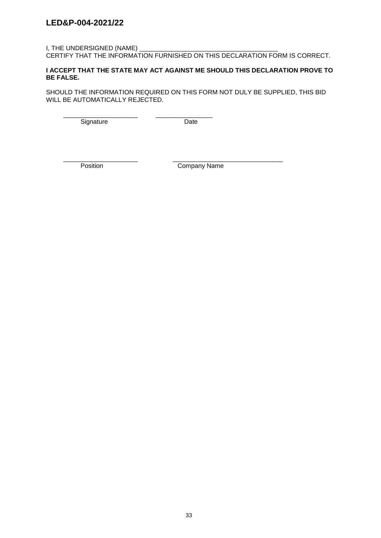### I, THE UNDERSIGNED (NAME)

CERTIFY THAT THE INFORMATION FURNISHED ON THIS DECLARATION FORM IS CORRECT.

#### **I ACCEPT THAT THE STATE MAY ACT AGAINST ME SHOULD THIS DECLARATION PROVE TO BE FALSE.**

SHOULD THE INFORMATION REQUIRED ON THIS FORM NOT DULY BE SUPPLIED, THIS BID WILL BE AUTOMATICALLY REJECTED.

\_\_\_\_\_\_\_\_\_\_\_\_\_\_\_\_\_\_\_\_\_ \_\_\_\_\_\_\_\_\_\_\_\_\_\_\_\_ Signature Date

\_\_\_\_\_\_\_\_\_\_\_\_\_\_\_\_\_\_\_\_\_ \_\_\_\_\_\_\_\_\_\_\_\_\_\_\_\_\_\_\_\_\_\_\_\_\_\_\_\_\_\_\_

Position Company Name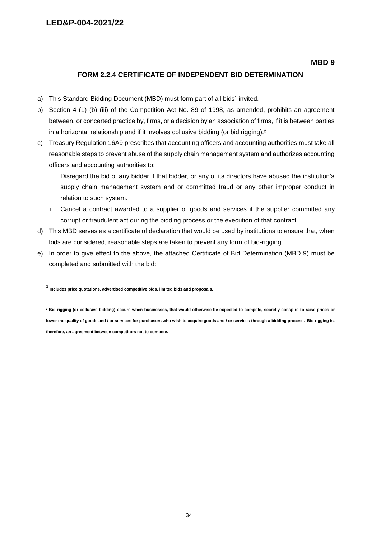**MBD 9**

### **FORM 2.2.4 CERTIFICATE OF INDEPENDENT BID DETERMINATION**

- a) This Standard Bidding Document (MBD) must form part of all bids<sup>1</sup> invited.
- b) Section 4 (1) (b) (iii) of the Competition Act No. 89 of 1998, as amended, prohibits an agreement between, or concerted practice by, firms, or a decision by an association of firms, if it is between parties in a horizontal relationship and if it involves collusive bidding (or bid rigging).<sup>2</sup>
- c) Treasury Regulation 16A9 prescribes that accounting officers and accounting authorities must take all reasonable steps to prevent abuse of the supply chain management system and authorizes accounting officers and accounting authorities to:
	- i. Disregard the bid of any bidder if that bidder, or any of its directors have abused the institution's supply chain management system and or committed fraud or any other improper conduct in relation to such system.
	- ii. Cancel a contract awarded to a supplier of goods and services if the supplier committed any corrupt or fraudulent act during the bidding process or the execution of that contract.
- d) This MBD serves as a certificate of declaration that would be used by institutions to ensure that, when bids are considered, reasonable steps are taken to prevent any form of bid-rigging.
- e) In order to give effect to the above, the attached Certificate of Bid Determination (MBD 9) must be completed and submitted with the bid:

**¹ Includes price quotations, advertised competitive bids, limited bids and proposals.**

**² Bid rigging (or collusive bidding) occurs when businesses, that would otherwise be expected to compete, secretly conspire to raise prices or lower the quality of goods and / or services for purchasers who wish to acquire goods and / or services through a bidding process. Bid rigging is, therefore, an agreement between competitors not to compete.**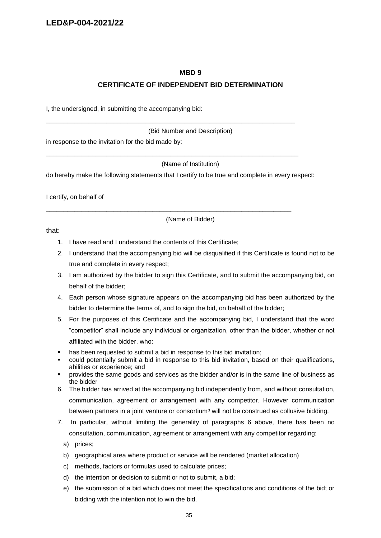#### **MBD 9**

#### **CERTIFICATE OF INDEPENDENT BID DETERMINATION**

I, the undersigned, in submitting the accompanying bid:

(Bid Number and Description)

in response to the invitation for the bid made by:

(Name of Institution)

do hereby make the following statements that I certify to be true and complete in every respect:

\_\_\_\_\_\_\_\_\_\_\_\_\_\_\_\_\_\_\_\_\_\_\_\_\_\_\_\_\_\_\_\_\_\_\_\_\_\_\_\_\_\_\_\_\_\_\_\_\_\_\_\_\_\_\_\_\_\_\_\_\_\_\_\_\_\_\_\_\_\_

\_\_\_\_\_\_\_\_\_\_\_\_\_\_\_\_\_\_\_\_\_\_\_\_\_\_\_\_\_\_\_\_\_\_\_\_\_\_\_\_\_\_\_\_\_\_\_\_\_\_\_\_\_\_\_\_\_\_\_\_\_\_\_\_\_\_\_\_\_\_\_

\_\_\_\_\_\_\_\_\_\_\_\_\_\_\_\_\_\_\_\_\_\_\_\_\_\_\_\_\_\_\_\_\_\_\_\_\_\_\_\_\_\_\_\_\_\_\_\_\_\_\_\_\_\_\_\_\_\_\_\_\_\_\_\_\_\_\_\_\_

I certify, on behalf of

(Name of Bidder)

that:

- 1. I have read and I understand the contents of this Certificate;
- 2. I understand that the accompanying bid will be disqualified if this Certificate is found not to be true and complete in every respect;
- 3. I am authorized by the bidder to sign this Certificate, and to submit the accompanying bid, on behalf of the bidder;
- 4. Each person whose signature appears on the accompanying bid has been authorized by the bidder to determine the terms of, and to sign the bid, on behalf of the bidder;
- 5. For the purposes of this Certificate and the accompanying bid, I understand that the word "competitor" shall include any individual or organization, other than the bidder, whether or not affiliated with the bidder, who:
- has been requested to submit a bid in response to this bid invitation;
- could potentially submit a bid in response to this bid invitation, based on their qualifications, abilities or experience; and
- provides the same goods and services as the bidder and/or is in the same line of business as the bidder
- 6. The bidder has arrived at the accompanying bid independently from, and without consultation, communication, agreement or arrangement with any competitor. However communication between partners in a joint venture or consortium<sup>3</sup> will not be construed as collusive bidding.
- 7. In particular, without limiting the generality of paragraphs 6 above, there has been no consultation, communication, agreement or arrangement with any competitor regarding:
	- a) prices;
	- b) geographical area where product or service will be rendered (market allocation)
	- c) methods, factors or formulas used to calculate prices;
	- d) the intention or decision to submit or not to submit, a bid;
	- e) the submission of a bid which does not meet the specifications and conditions of the bid; or bidding with the intention not to win the bid.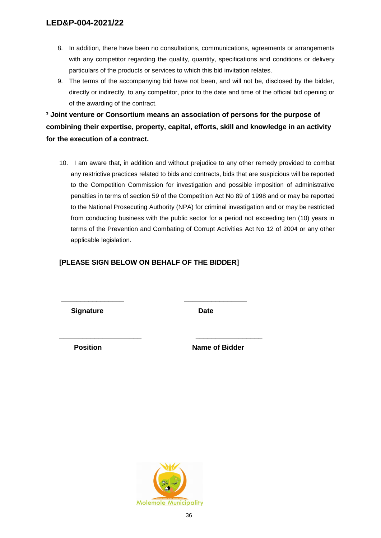- 8. In addition, there have been no consultations, communications, agreements or arrangements with any competitor regarding the quality, quantity, specifications and conditions or delivery particulars of the products or services to which this bid invitation relates.
- 9. The terms of the accompanying bid have not been, and will not be, disclosed by the bidder, directly or indirectly, to any competitor, prior to the date and time of the official bid opening or of the awarding of the contract.

**³ Joint venture or Consortium means an association of persons for the purpose of combining their expertise, property, capital, efforts, skill and knowledge in an activity for the execution of a contract.**

10. I am aware that, in addition and without prejudice to any other remedy provided to combat any restrictive practices related to bids and contracts, bids that are suspicious will be reported to the Competition Commission for investigation and possible imposition of administrative penalties in terms of section 59 of the Competition Act No 89 of 1998 and or may be reported to the National Prosecuting Authority (NPA) for criminal investigation and or may be restricted from conducting business with the public sector for a period not exceeding ten (10) years in terms of the Prevention and Combating of Corrupt Activities Act No 12 of 2004 or any other applicable legislation.

### **[PLEASE SIGN BELOW ON BEHALF OF THE BIDDER]**

**\_\_\_\_\_\_\_\_\_\_\_\_\_\_\_\_ \_\_\_\_\_\_\_\_\_\_\_\_\_\_\_\_**

**\_\_\_\_\_\_\_\_\_\_\_\_\_\_\_\_\_\_\_\_\_ \_\_\_\_\_\_\_\_\_\_\_\_\_\_\_\_\_**

**Signature Date** 

**Position** Name of Bidder

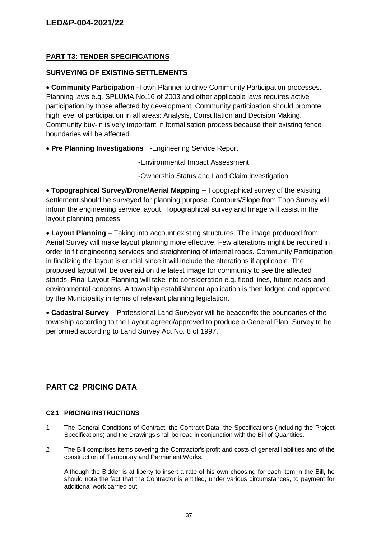### **PART T3: TENDER SPECIFICATIONS**

### **SURVEYING OF EXISTING SETTLEMENTS**

 **Community Participation -**Town Planner to drive Community Participation processes. Planning laws e.g. SPLUMA No.16 of 2003 and other applicable laws requires active participation by those affected by development. Community participation should promote high level of participation in all areas: Analysis, Consultation and Decision Making. Community buy-in is very important in formalisation process because their existing fence boundaries will be affected.

**Pre Planning Investigations** -Engineering Service Report

-Environmental Impact Assessment

-Ownership Status and Land Claim investigation.

 **Topographical Survey/Drone/Aerial Mapping** – Topographical survey of the existing settlement should be surveyed for planning purpose. Contours/Slope from Topo Survey will inform the engineering service layout. Topographical survey and Image will assist in the layout planning process.

 **Layout Planning** – Taking into account existing structures. The image produced from Aerial Survey will make layout planning more effective. Few alterations might be required in order to fit engineering services and straightening of internal roads. Community Participation in finalizing the layout is crucial since it will include the alterations if applicable. The proposed layout will be overlaid on the latest image for community to see the affected stands. Final Layout Planning will take into consideration e.g. flood lines, future roads and environmental concerns. A township establishment application is then lodged and approved by the Municipality in terms of relevant planning legislation.

 **Cadastral Survey** – Professional Land Surveyor will be beacon/fix the boundaries of the township according to the Layout agreed/approved to produce a General Plan. Survey to be performed according to Land Survey Act No. 8 of 1997.

# **PART C2 PRICING DATA**

#### **C2.1 PRICING INSTRUCTIONS**

- 1 The General Conditions of Contract, the Contract Data, the Specifications (including the Project Specifications) and the Drawings shall be read in conjunction with the Bill of Quantities.
- 2 The Bill comprises items covering the Contractor's profit and costs of general liabilities and of the construction of Temporary and Permanent Works.

Although the Bidder is at liberty to insert a rate of his own choosing for each item in the Bill, he should note the fact that the Contractor is entitled, under various circumstances, to payment for additional work carried out.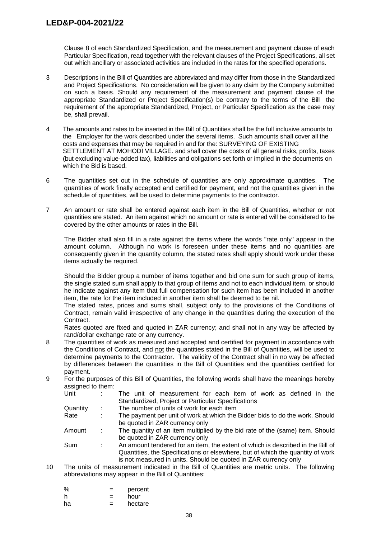Clause 8 of each Standardized Specification, and the measurement and payment clause of each Particular Specification, read together with the relevant clauses of the Project Specifications, all set out which ancillary or associated activities are included in the rates for the specified operations.

- 3 Descriptions in the Bill of Quantities are abbreviated and may differ from those in the Standardized and Project Specifications. No consideration will be given to any claim by the Company submitted on such a basis. Should any requirement of the measurement and payment clause of the appropriate Standardized or Project Specification(s) be contrary to the terms of the Bill the requirement of the appropriate Standardized, Project, or Particular Specification as the case may be, shall prevail.
- 4 The amounts and rates to be inserted in the Bill of Quantities shall be the full inclusive amounts to the Employer for the work described under the several items. Such amounts shall cover all the costs and expenses that may be required in and for the: SURVEYING OF EXISTING SETTLEMENT AT MOHODI VILLAGE. and shall cover the costs of all general risks, profits, taxes (but excluding value-added tax), liabilities and obligations set forth or implied in the documents on which the Bid is based.
- 6 The quantities set out in the schedule of quantities are only approximate quantities. The quantities of work finally accepted and certified for payment, and not the quantities given in the schedule of quantities, will be used to determine payments to the contractor.
- 7 An amount or rate shall be entered against each item in the Bill of Quantities, whether or not quantities are stated. An item against which no amount or rate is entered will be considered to be covered by the other amounts or rates in the Bill.

The Bidder shall also fill in a rate against the items where the words "rate only" appear in the amount column. Although no work is foreseen under these items and no quantities are consequently given in the quantity column, the stated rates shall apply should work under these items actually be required.

Should the Bidder group a number of items together and bid one sum for such group of items, the single stated sum shall apply to that group of items and not to each individual item, or should he indicate against any item that full compensation for such item has been included in another item, the rate for the item included in another item shall be deemed to be nil.

The stated rates, prices and sums shall, subject only to the provisions of the Conditions of Contract, remain valid irrespective of any change in the quantities during the execution of the Contract.

Rates quoted are fixed and quoted in ZAR currency; and shall not in any way be affected by rand/dollar exchange rate or any currency.

- 8 The quantities of work as measured and accepted and certified for payment in accordance with the Conditions of Contract, and not the quantities stated in the Bill of Quantities, will be used to determine payments to the Contractor. The validity of the Contract shall in no way be affected by differences between the quantities in the Bill of Quantities and the quantities certified for payment.
- 9 For the purposes of this Bill of Quantities, the following words shall have the meanings hereby assigned to them:

| Unit     |   | The unit of measurement for each item of work as defined in the                 |
|----------|---|---------------------------------------------------------------------------------|
|          |   | Standardized, Project or Particular Specifications                              |
| Quantity |   | The number of units of work for each item                                       |
| Rate     | ÷ | The payment per unit of work at which the Bidder bids to do the work. Should    |
|          |   | be quoted in ZAR currency only                                                  |
| Amount   | ÷ | The quantity of an item multiplied by the bid rate of the (same) item. Should   |
|          |   | be quoted in ZAR currency only                                                  |
| Sum      |   | An amount tendered for an item, the extent of which is described in the Bill of |
|          |   | Quantities, the Specifications or elsewhere, but of which the quantity of work  |
|          |   | is not measured in units. Should be quoted in ZAR currency only                 |
|          |   |                                                                                 |

10 The units of measurement indicated in the Bill of Quantities are metric units. The following abbreviations may appear in the Bill of Quantities:

| %  | $=$ | percent |
|----|-----|---------|
|    | $=$ | hour    |
| ha |     | hectare |

38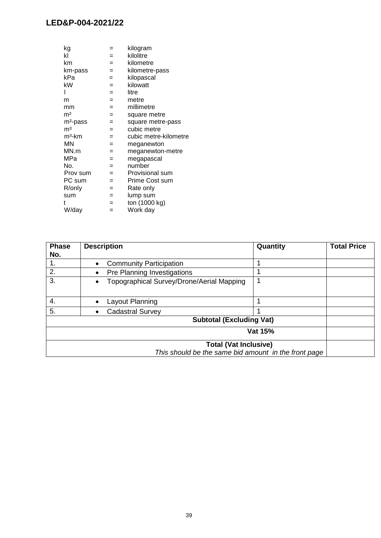| kg             | =   | kilogram              |
|----------------|-----|-----------------------|
| kl             | $=$ | kilolitre             |
| km             | $=$ | kilometre             |
| km-pass        | $=$ | kilometre-pass        |
| kPa            | $=$ | kilopascal            |
| kW             | $=$ | kilowatt              |
| I              | $=$ | litre                 |
| m              | $=$ | metre                 |
| mm             | $=$ | millimetre            |
| m <sup>2</sup> | $=$ | square metre          |
| $m2$ -pass     | $=$ | square metre-pass     |
| m <sup>3</sup> | $=$ | cubic metre           |
| $m3$ -km       | $=$ | cubic metre-kilometre |
| ΜN             | $=$ | meganewton            |
| MN.m           | $=$ | meganewton-metre      |
| MPa            | $=$ | megapascal            |
| No.            | $=$ | number                |
| Prov sum       | $=$ | Provisional sum       |
| PC sum         | $=$ | Prime Cost sum        |
| R/only         | $=$ | Rate only             |
| sum            | $=$ | lump sum              |
| t              | $=$ | ton (1000 kg)         |
| W/day          | $=$ | Work day              |
|                |     |                       |

| <b>Phase</b> | <b>Description</b>                                     | Quantity | <b>Total Price</b> |
|--------------|--------------------------------------------------------|----------|--------------------|
| No.          |                                                        |          |                    |
| 1.           | <b>Community Participation</b>                         | 1        |                    |
| 2.           | Pre Planning Investigations<br>$\bullet$               | ↿        |                    |
| 3.           | Topographical Survey/Drone/Aerial Mapping<br>$\bullet$ | 1        |                    |
| 4.           | Layout Planning                                        | 1        |                    |
| 5.           | <b>Cadastral Survey</b>                                |          |                    |
|              | <b>Subtotal (Excluding Vat)</b>                        |          |                    |
|              |                                                        | Vat 15%  |                    |
|              | <b>Total (Vat Inclusive)</b>                           |          |                    |
|              | This should be the same bid amount in the front page   |          |                    |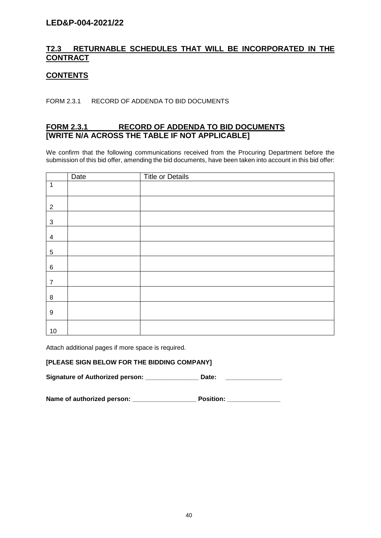# **T2.3 RETURNABLE SCHEDULES THAT WILL BE INCORPORATED IN THE CONTRACT**

### **CONTENTS**

FORM 2.3.1 RECORD OF ADDENDA TO BID DOCUMENTS

### **FORM 2.3.1 RECORD OF ADDENDA TO BID DOCUMENTS [WRITE N/A ACROSS THE TABLE IF NOT APPLICABLE]**

We confirm that the following communications received from the Procuring Department before the submission of this bid offer, amending the bid documents, have been taken into account in this bid offer:

|                  | Date | <b>Title or Details</b> |
|------------------|------|-------------------------|
| $\mathbf{1}$     |      |                         |
| $\overline{2}$   |      |                         |
| 3                |      |                         |
| 4                |      |                         |
| 5                |      |                         |
| $\,6\,$          |      |                         |
| $\overline{7}$   |      |                         |
| 8                |      |                         |
| $\boldsymbol{9}$ |      |                         |
| 10               |      |                         |

Attach additional pages if more space is required.

### **[PLEASE SIGN BELOW FOR THE BIDDING COMPANY]**

**Signature of Authorized person: \_\_\_\_\_\_\_\_\_\_\_\_\_\_\_ Date: \_\_\_\_\_\_\_\_\_\_\_\_\_\_\_\_**

**Name of authorized person: \_\_\_\_\_\_\_\_\_\_\_\_\_\_\_\_\_\_ Position: \_\_\_\_\_\_\_\_\_\_\_\_\_\_\_**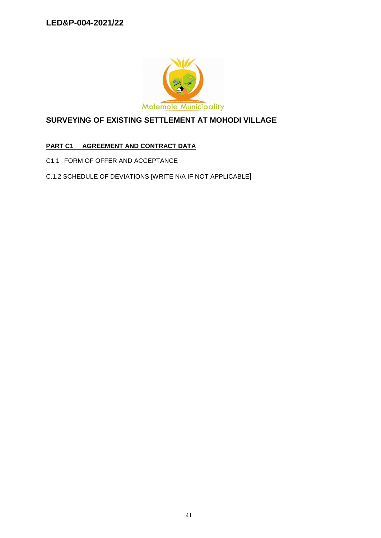

# **SURVEYING OF EXISTING SETTLEMENT AT MOHODI VILLAGE**

# **PART C1 AGREEMENT AND CONTRACT DATA**

- C1.1 FORM OF OFFER AND ACCEPTANCE
- C.1.2 SCHEDULE OF DEVIATIONS [WRITE N/A IF NOT APPLICABLE]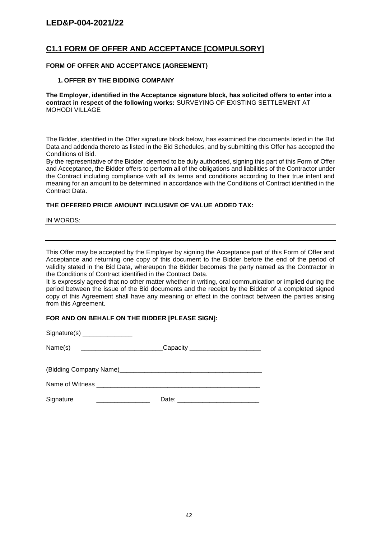### **C1.1 FORM OF OFFER AND ACCEPTANCE [COMPULSORY]**

#### **FORM OF OFFER AND ACCEPTANCE (AGREEMENT)**

#### **1. OFFER BY THE BIDDING COMPANY**

**The Employer, identified in the Acceptance signature block, has solicited offers to enter into a contract in respect of the following works:** SURVEYING OF EXISTING SETTLEMENT AT MOHODI VILLAGE

The Bidder, identified in the Offer signature block below, has examined the documents listed in the Bid Data and addenda thereto as listed in the Bid Schedules, and by submitting this Offer has accepted the Conditions of Bid.

By the representative of the Bidder, deemed to be duly authorised, signing this part of this Form of Offer and Acceptance, the Bidder offers to perform all of the obligations and liabilities of the Contractor under the Contract including compliance with all its terms and conditions according to their true intent and meaning for an amount to be determined in accordance with the Conditions of Contract identified in the Contract Data.

#### **THE OFFERED PRICE AMOUNT INCLUSIVE OF VALUE ADDED TAX:**

IN WORDS:

This Offer may be accepted by the Employer by signing the Acceptance part of this Form of Offer and Acceptance and returning one copy of this document to the Bidder before the end of the period of validity stated in the Bid Data, whereupon the Bidder becomes the party named as the Contractor in the Conditions of Contract identified in the Contract Data.

It is expressly agreed that no other matter whether in writing, oral communication or implied during the period between the issue of the Bid documents and the receipt by the Bidder of a completed signed copy of this Agreement shall have any meaning or effect in the contract between the parties arising from this Agreement.

#### **FOR AND ON BEHALF ON THE BIDDER [PLEASE SIGN]:**

| Name(s)  __________________________Capacity _______________________ |  |
|---------------------------------------------------------------------|--|
|                                                                     |  |
|                                                                     |  |
|                                                                     |  |
| Signature                                                           |  |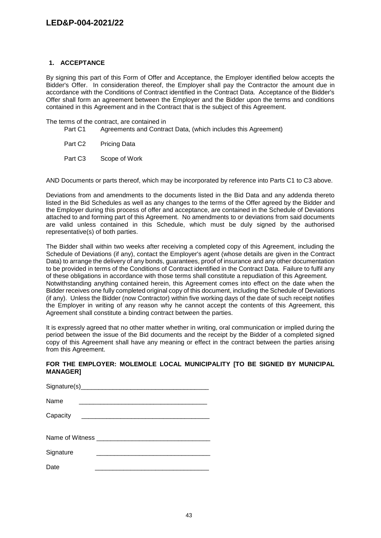#### **1. ACCEPTANCE**

By signing this part of this Form of Offer and Acceptance, the Employer identified below accepts the Bidder's Offer. In consideration thereof, the Employer shall pay the Contractor the amount due in accordance with the Conditions of Contract identified in the Contract Data. Acceptance of the Bidder's Offer shall form an agreement between the Employer and the Bidder upon the terms and conditions contained in this Agreement and in the Contract that is the subject of this Agreement.

The terms of the contract, are contained in<br>Part C1 Agreements and Contra

- Agreements and Contract Data, (which includes this Agreement)
- Part C<sub>2</sub> Pricing Data
- Part C3 Scope of Work

AND Documents or parts thereof, which may be incorporated by reference into Parts C1 to C3 above.

Deviations from and amendments to the documents listed in the Bid Data and any addenda thereto listed in the Bid Schedules as well as any changes to the terms of the Offer agreed by the Bidder and the Employer during this process of offer and acceptance, are contained in the Schedule of Deviations attached to and forming part of this Agreement. No amendments to or deviations from said documents are valid unless contained in this Schedule, which must be duly signed by the authorised representative(s) of both parties.

The Bidder shall within two weeks after receiving a completed copy of this Agreement, including the Schedule of Deviations (if any), contact the Employer's agent (whose details are given in the Contract Data) to arrange the delivery of any bonds, guarantees, proof of insurance and any other documentation to be provided in terms of the Conditions of Contract identified in the Contract Data. Failure to fulfil any of these obligations in accordance with those terms shall constitute a repudiation of this Agreement. Notwithstanding anything contained herein, this Agreement comes into effect on the date when the Bidder receives one fully completed original copy of this document, including the Schedule of Deviations (if any). Unless the Bidder (now Contractor) within five working days of the date of such receipt notifies the Employer in writing of any reason why he cannot accept the contents of this Agreement, this Agreement shall constitute a binding contract between the parties.

It is expressly agreed that no other matter whether in writing, oral communication or implied during the period between the issue of the Bid documents and the receipt by the Bidder of a completed signed copy of this Agreement shall have any meaning or effect in the contract between the parties arising from this Agreement.

#### **FOR THE EMPLOYER: MOLEMOLE LOCAL MUNICIPALITY [TO BE SIGNED BY MUNICIPAL MANAGER]**

| Name      | the contract of the contract of the contract of the contract of the contract of |  |
|-----------|---------------------------------------------------------------------------------|--|
| Capacity  |                                                                                 |  |
|           |                                                                                 |  |
|           |                                                                                 |  |
| Signature |                                                                                 |  |
| Date      |                                                                                 |  |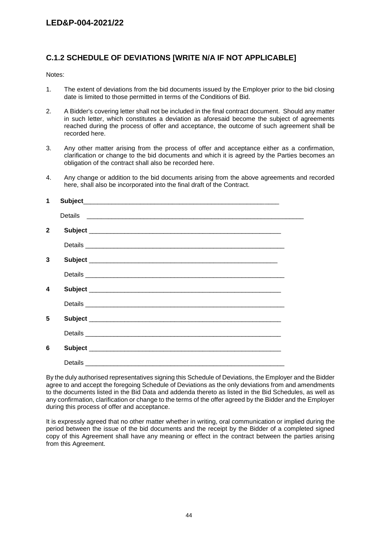# **C.1.2 SCHEDULE OF DEVIATIONS [WRITE N/A IF NOT APPLICABLE]**

Notes:

- 1. The extent of deviations from the bid documents issued by the Employer prior to the bid closing date is limited to those permitted in terms of the Conditions of Bid.
- 2. A Bidder's covering letter shall not be included in the final contract document. Should any matter in such letter, which constitutes a deviation as aforesaid become the subject of agreements reached during the process of offer and acceptance, the outcome of such agreement shall be recorded here.
- 3. Any other matter arising from the process of offer and acceptance either as a confirmation, clarification or change to the bid documents and which it is agreed by the Parties becomes an obligation of the contract shall also be recorded here.
- 4. Any change or addition to the bid documents arising from the above agreements and recorded here, shall also be incorporated into the final draft of the Contract.

| 1            |  |
|--------------|--|
|              |  |
| $\mathbf{2}$ |  |
|              |  |
| 3            |  |
|              |  |
| 4            |  |
|              |  |
| 5            |  |
|              |  |
| 6            |  |
|              |  |

By the duly authorised representatives signing this Schedule of Deviations, the Employer and the Bidder agree to and accept the foregoing Schedule of Deviations as the only deviations from and amendments to the documents listed in the Bid Data and addenda thereto as listed in the Bid Schedules, as well as any confirmation, clarification or change to the terms of the offer agreed by the Bidder and the Employer during this process of offer and acceptance.

It is expressly agreed that no other matter whether in writing, oral communication or implied during the period between the issue of the bid documents and the receipt by the Bidder of a completed signed copy of this Agreement shall have any meaning or effect in the contract between the parties arising from this Agreement.